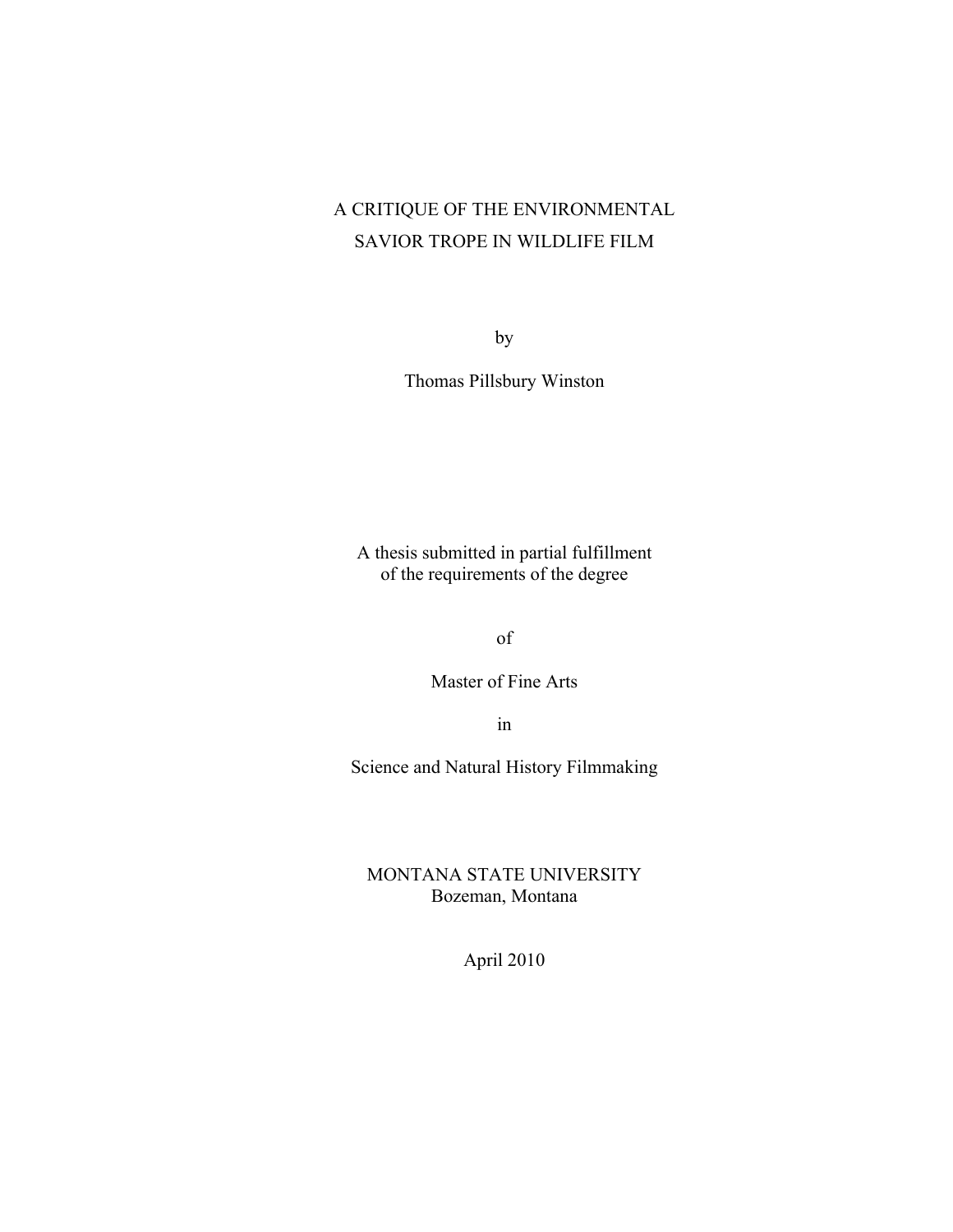# A CRITIQUE OF THE ENVIRONMENTAL SAVIOR TROPE IN WILDLIFE FILM

by

Thomas Pillsbury Winston

A thesis submitted in partial fulfillment of the requirements of the degree

of

Master of Fine Arts

in

Science and Natural History Filmmaking

MONTANA STATE UNIVERSITY Bozeman, Montana

April 2010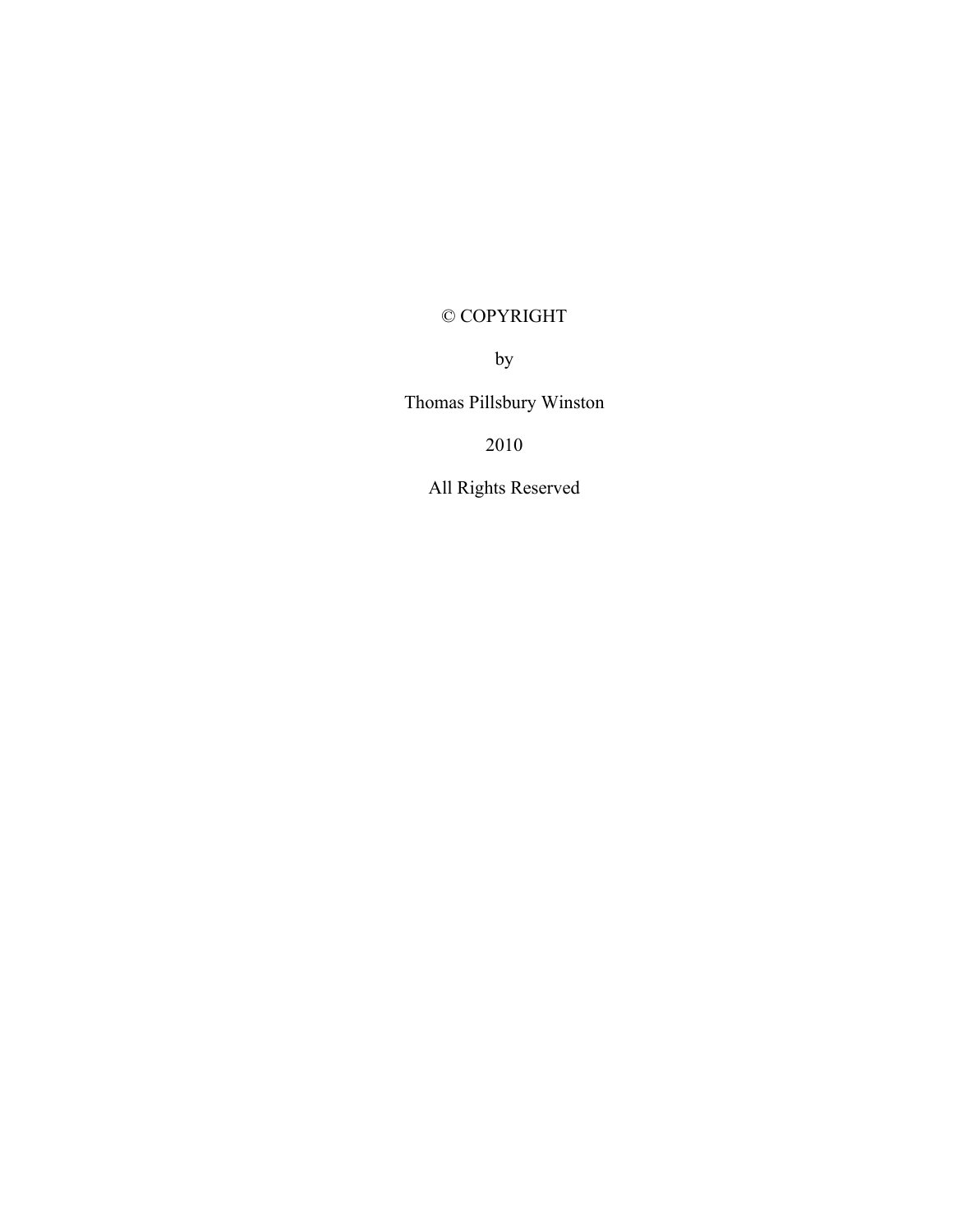## © COPYRIGHT

by

Thomas Pillsbury Winston

2010

All Rights Reserved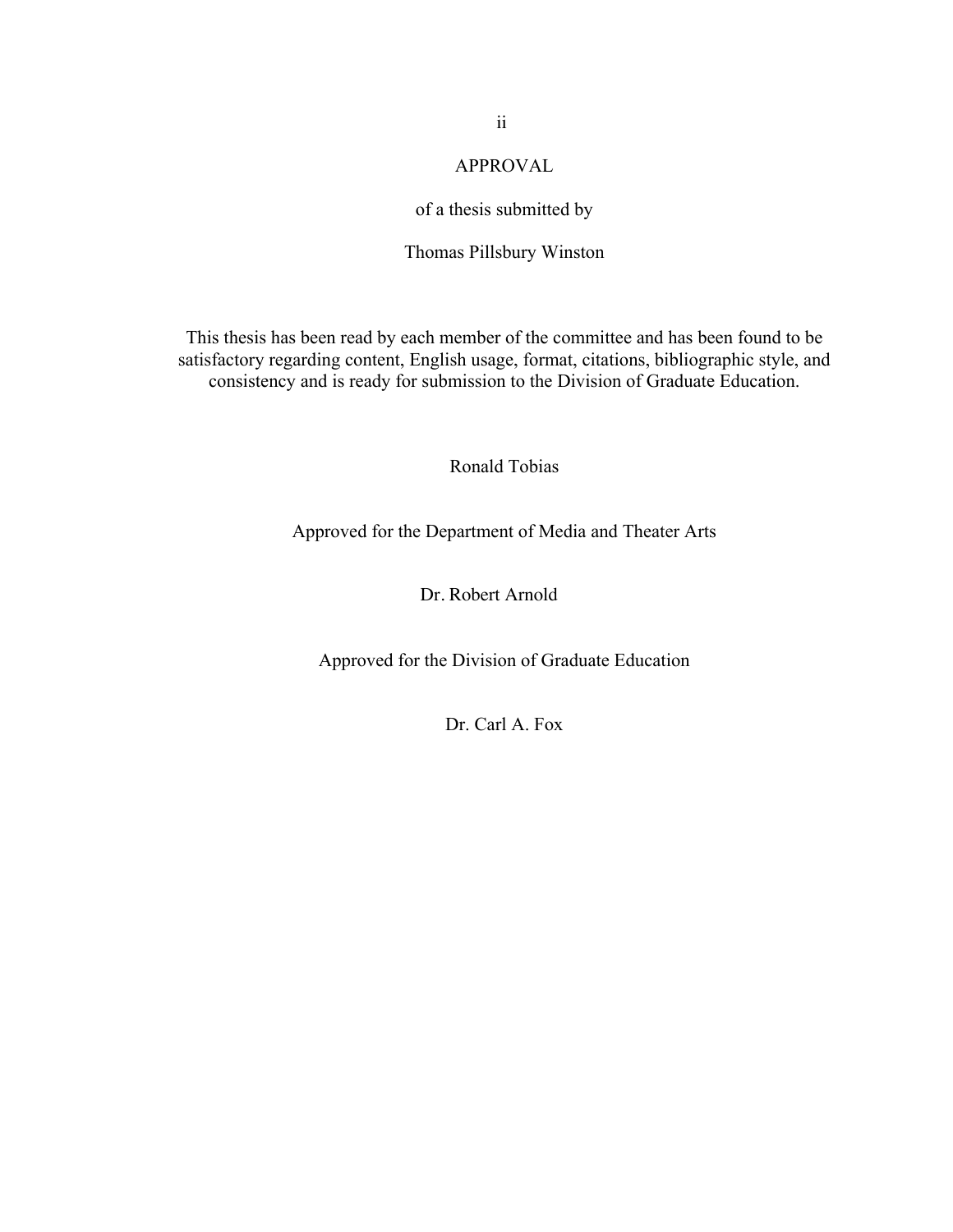## APPROVAL

## of a thesis submitted by

## Thomas Pillsbury Winston

This thesis has been read by each member of the committee and has been found to be satisfactory regarding content, English usage, format, citations, bibliographic style, and consistency and is ready for submission to the Division of Graduate Education.

## Ronald Tobias

## Approved for the Department of Media and Theater Arts

### Dr. Robert Arnold

Approved for the Division of Graduate Education

Dr. Carl A. Fox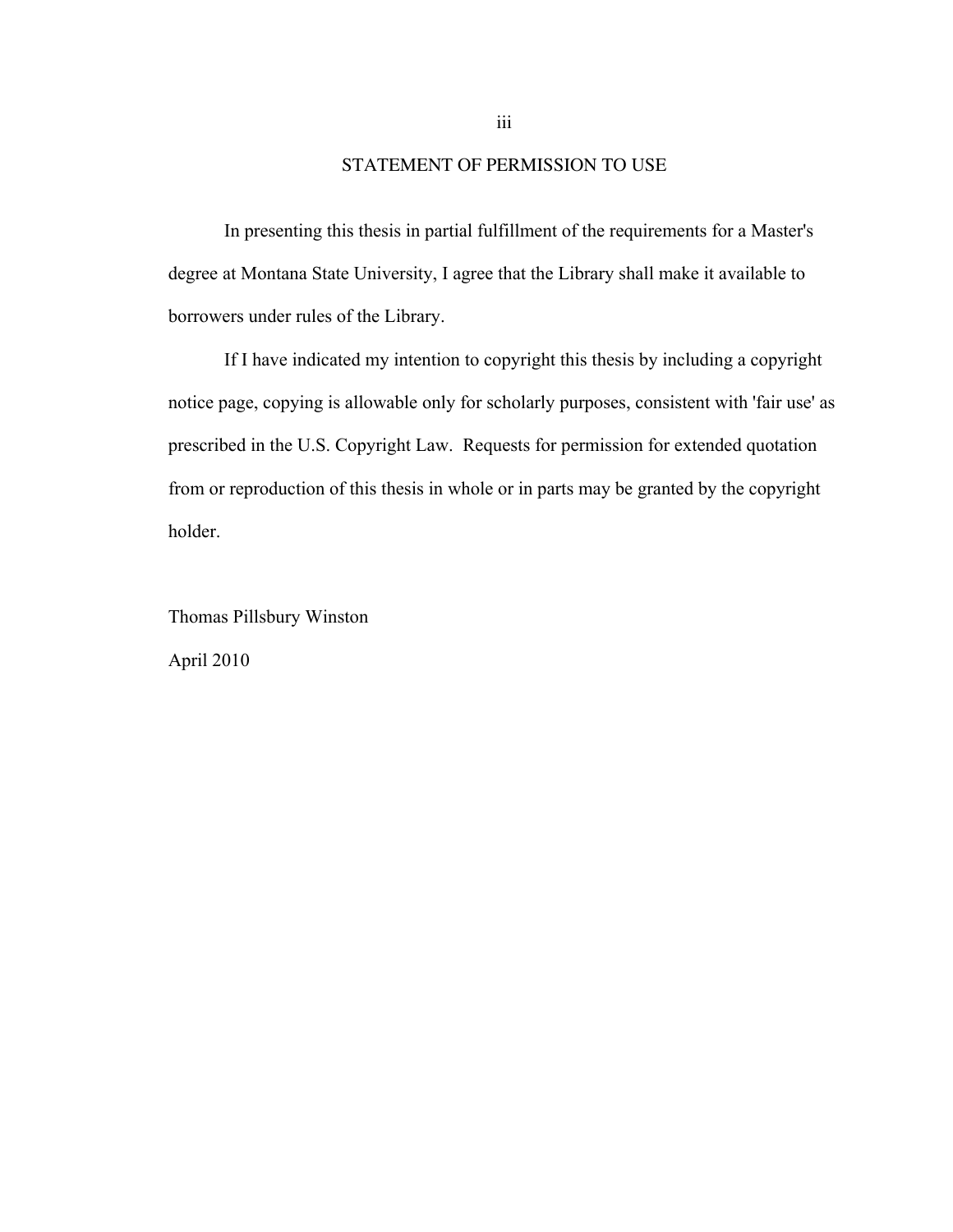### STATEMENT OF PERMISSION TO USE

In presenting this thesis in partial fulfillment of the requirements for a Master's degree at Montana State University, I agree that the Library shall make it available to borrowers under rules of the Library.

If I have indicated my intention to copyright this thesis by including a copyright notice page, copying is allowable only for scholarly purposes, consistent with 'fair use' as prescribed in the U.S. Copyright Law. Requests for permission for extended quotation from or reproduction of this thesis in whole or in parts may be granted by the copyright holder.

Thomas Pillsbury Winston April 2010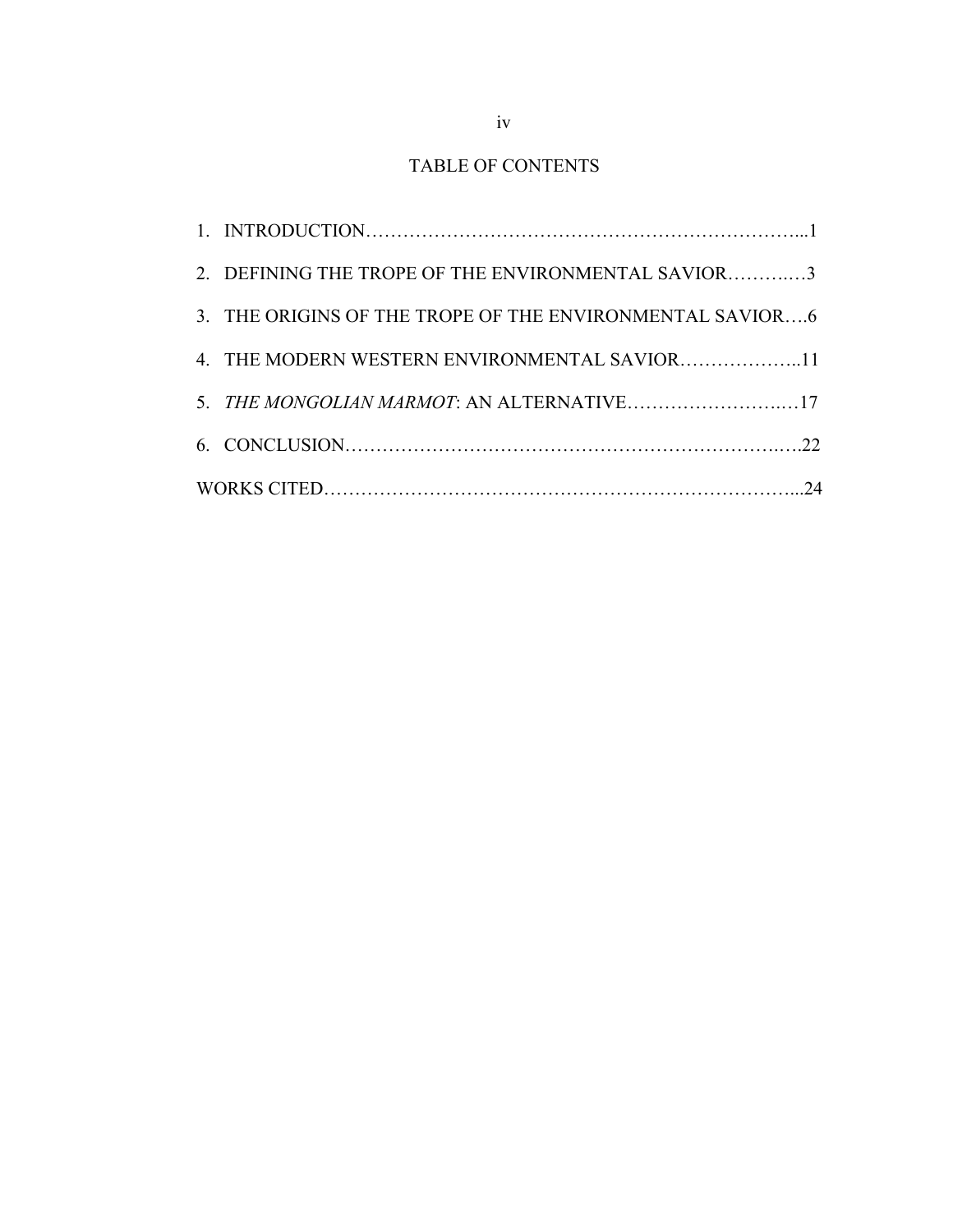## TABLE OF CONTENTS

| 2. DEFINING THE TROPE OF THE ENVIRONMENTAL SAVIOR3       |  |
|----------------------------------------------------------|--|
| 3. THE ORIGINS OF THE TROPE OF THE ENVIRONMENTAL SAVIOR6 |  |
| 4. THE MODERN WESTERN ENVIRONMENTAL SAVIOR11             |  |
| 5. THE MONGOLIAN MARMOT: AN ALTERNATIVE17                |  |
|                                                          |  |
|                                                          |  |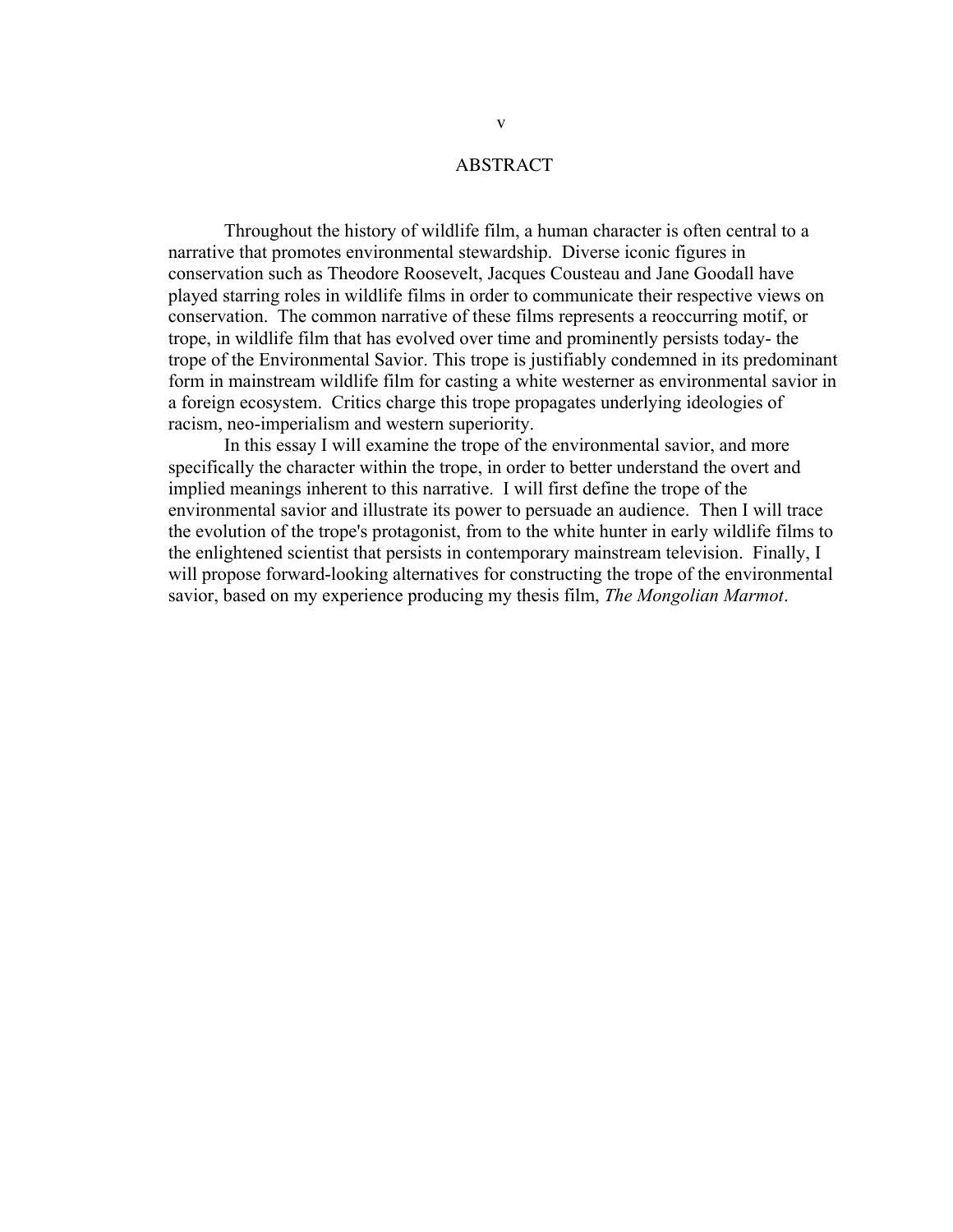### ABSTRACT

Throughout the history of wildlife film, a human character is often central to a narrative that promotes environmental stewardship. Diverse iconic figures in conservation such as Theodore Roosevelt, Jacques Cousteau and Jane Goodall have played starring roles in wildlife films in order to communicate their respective views on conservation. The common narrative of these films represents a reoccurring motif, or trope, in wildlife film that has evolved over time and prominently persists today- the trope of the Environmental Savior. This trope is justifiably condemned in its predominant form in mainstream wildlife film for casting a white westerner as environmental savior in a foreign ecosystem. Critics charge this trope propagates underlying ideologies of racism, neo-imperialism and western superiority.

In this essay I will examine the trope of the environmental savior, and more specifically the character within the trope, in order to better understand the overt and implied meanings inherent to this narrative. I will first define the trope of the environmental savior and illustrate its power to persuade an audience. Then I will trace the evolution of the trope's protagonist, from to the white hunter in early wildlife films to the enlightened scientist that persists in contemporary mainstream television. Finally, I will propose forward-looking alternatives for constructing the trope of the environmental savior, based on my experience producing my thesis film, *The Mongolian Marmot*.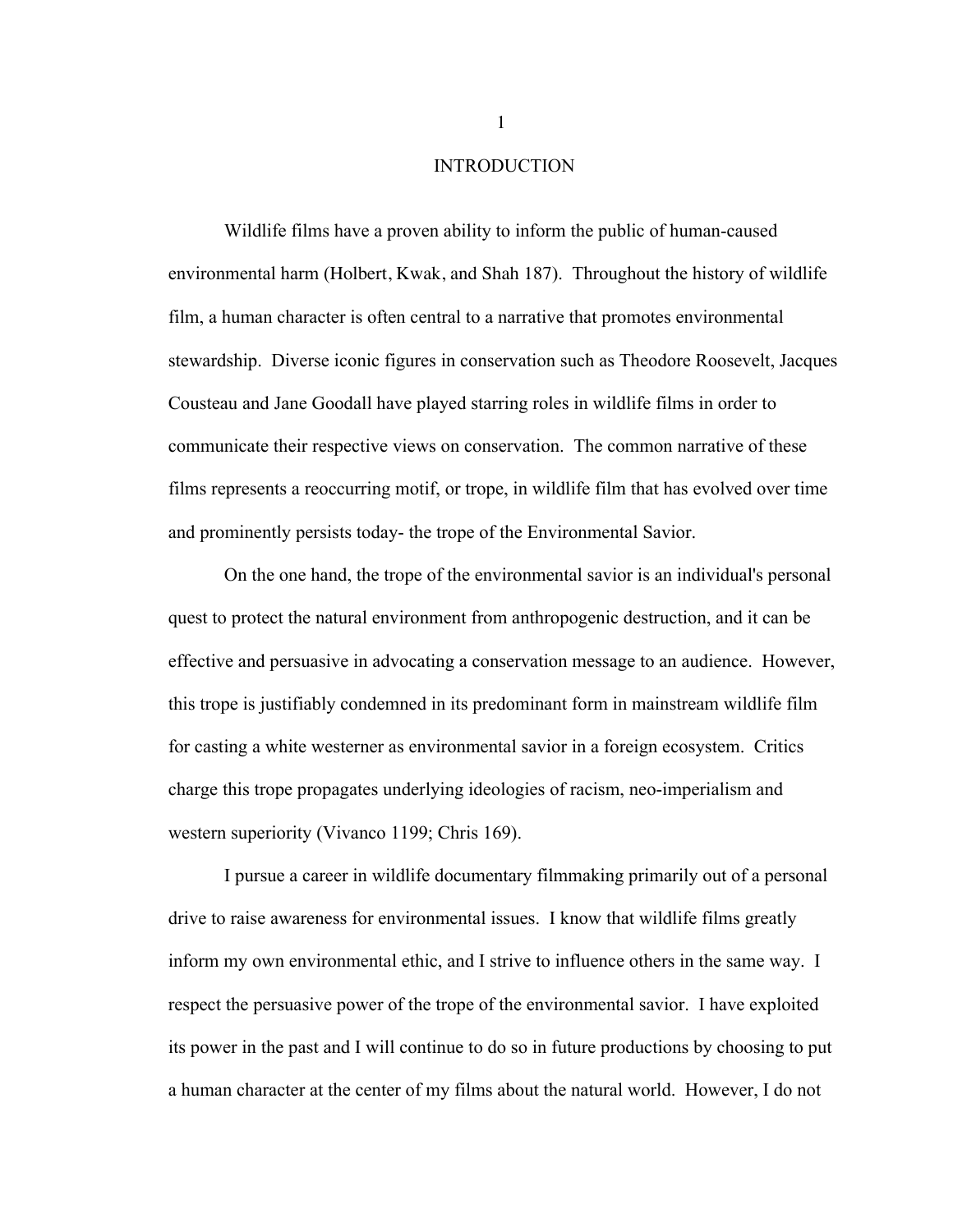### INTRODUCTION

Wildlife films have a proven ability to inform the public of human-caused environmental harm (Holbert, Kwak, and Shah 187). Throughout the history of wildlife film, a human character is often central to a narrative that promotes environmental stewardship. Diverse iconic figures in conservation such as Theodore Roosevelt, Jacques Cousteau and Jane Goodall have played starring roles in wildlife films in order to communicate their respective views on conservation. The common narrative of these films represents a reoccurring motif, or trope, in wildlife film that has evolved over time and prominently persists today- the trope of the Environmental Savior.

On the one hand, the trope of the environmental savior is an individual's personal quest to protect the natural environment from anthropogenic destruction, and it can be effective and persuasive in advocating a conservation message to an audience. However, this trope is justifiably condemned in its predominant form in mainstream wildlife film for casting a white westerner as environmental savior in a foreign ecosystem. Critics charge this trope propagates underlying ideologies of racism, neo-imperialism and western superiority (Vivanco 1199; Chris 169).

I pursue a career in wildlife documentary filmmaking primarily out of a personal drive to raise awareness for environmental issues. I know that wildlife films greatly inform my own environmental ethic, and I strive to influence others in the same way. I respect the persuasive power of the trope of the environmental savior. I have exploited its power in the past and I will continue to do so in future productions by choosing to put a human character at the center of my films about the natural world. However, I do not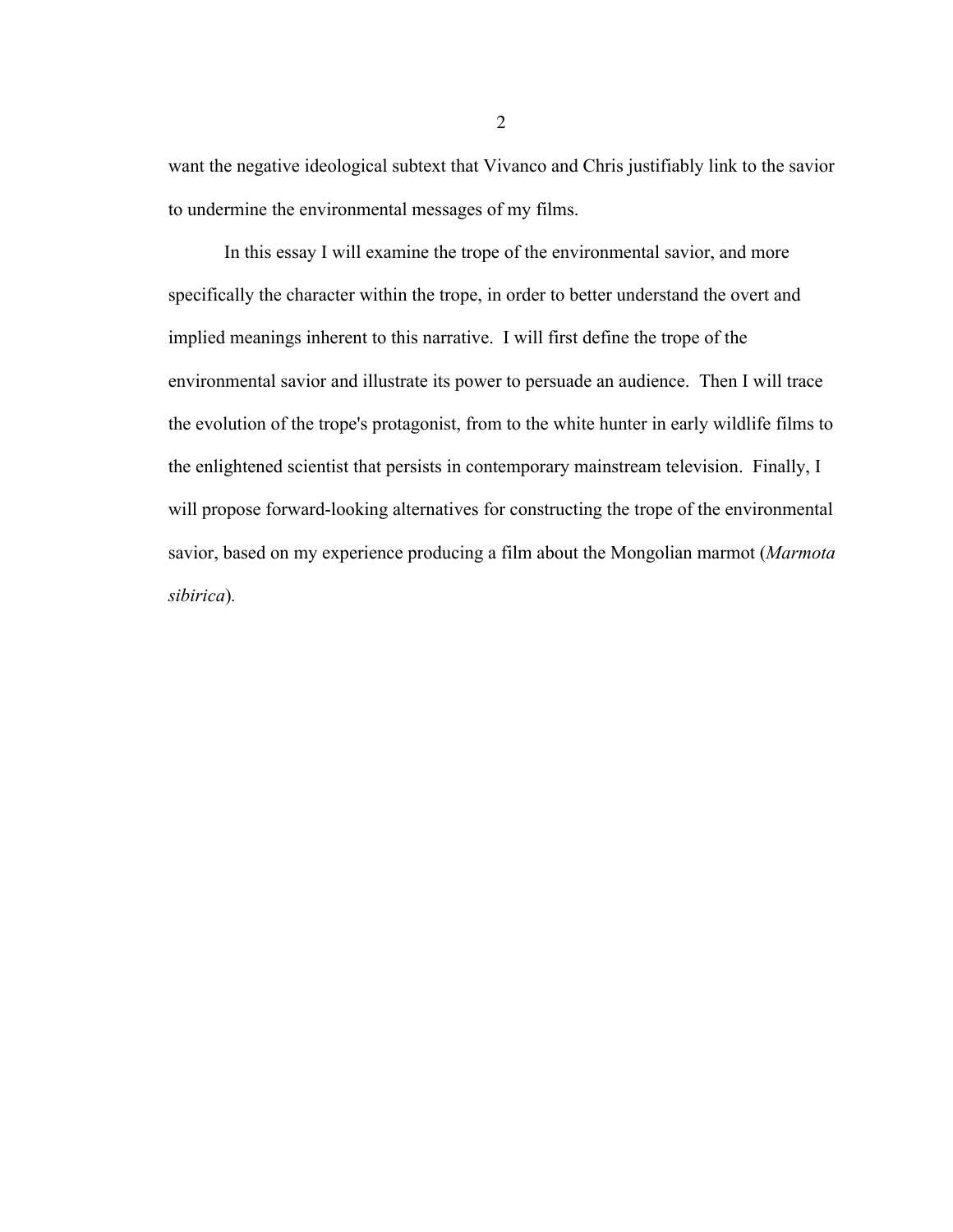want the negative ideological subtext that Vivanco and Chris justifiably link to the savior to undermine the environmental messages of my films.

In this essay I will examine the trope of the environmental savior, and more specifically the character within the trope, in order to better understand the overt and implied meanings inherent to this narrative. I will first define the trope of the environmental savior and illustrate its power to persuade an audience. Then I will trace the evolution of the trope's protagonist, from to the white hunter in early wildlife films to the enlightened scientist that persists in contemporary mainstream television. Finally, I will propose forward-looking alternatives for constructing the trope of the environmental savior, based on my experience producing a film about the Mongolian marmot (*Marmota sibirica*)*.*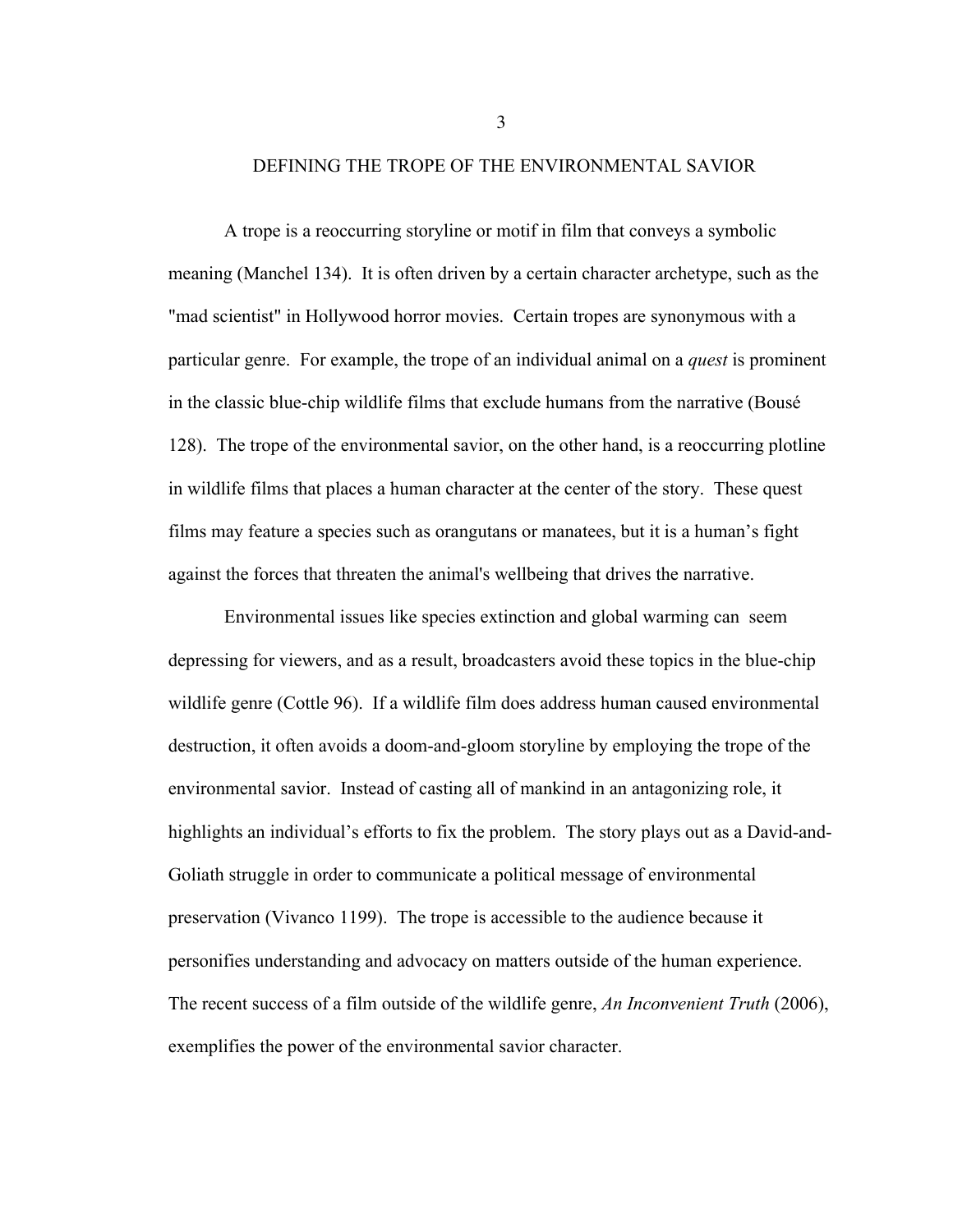### DEFINING THE TROPE OF THE ENVIRONMENTAL SAVIOR

A trope is a reoccurring storyline or motif in film that conveys a symbolic meaning (Manchel 134). It is often driven by a certain character archetype, such as the "mad scientist" in Hollywood horror movies. Certain tropes are synonymous with a particular genre. For example, the trope of an individual animal on a *quest* is prominent in the classic blue-chip wildlife films that exclude humans from the narrative (Bousé 128). The trope of the environmental savior, on the other hand, is a reoccurring plotline in wildlife films that places a human character at the center of the story. These quest films may feature a species such as orangutans or manatees, but it is a human's fight against the forces that threaten the animal's wellbeing that drives the narrative.

Environmental issues like species extinction and global warming can seem depressing for viewers, and as a result, broadcasters avoid these topics in the blue-chip wildlife genre (Cottle 96). If a wildlife film does address human caused environmental destruction, it often avoids a doom-and-gloom storyline by employing the trope of the environmental savior. Instead of casting all of mankind in an antagonizing role, it highlights an individual's efforts to fix the problem. The story plays out as a David-and-Goliath struggle in order to communicate a political message of environmental preservation (Vivanco 1199). The trope is accessible to the audience because it personifies understanding and advocacy on matters outside of the human experience. The recent success of a film outside of the wildlife genre, *An Inconvenient Truth* (2006), exemplifies the power of the environmental savior character.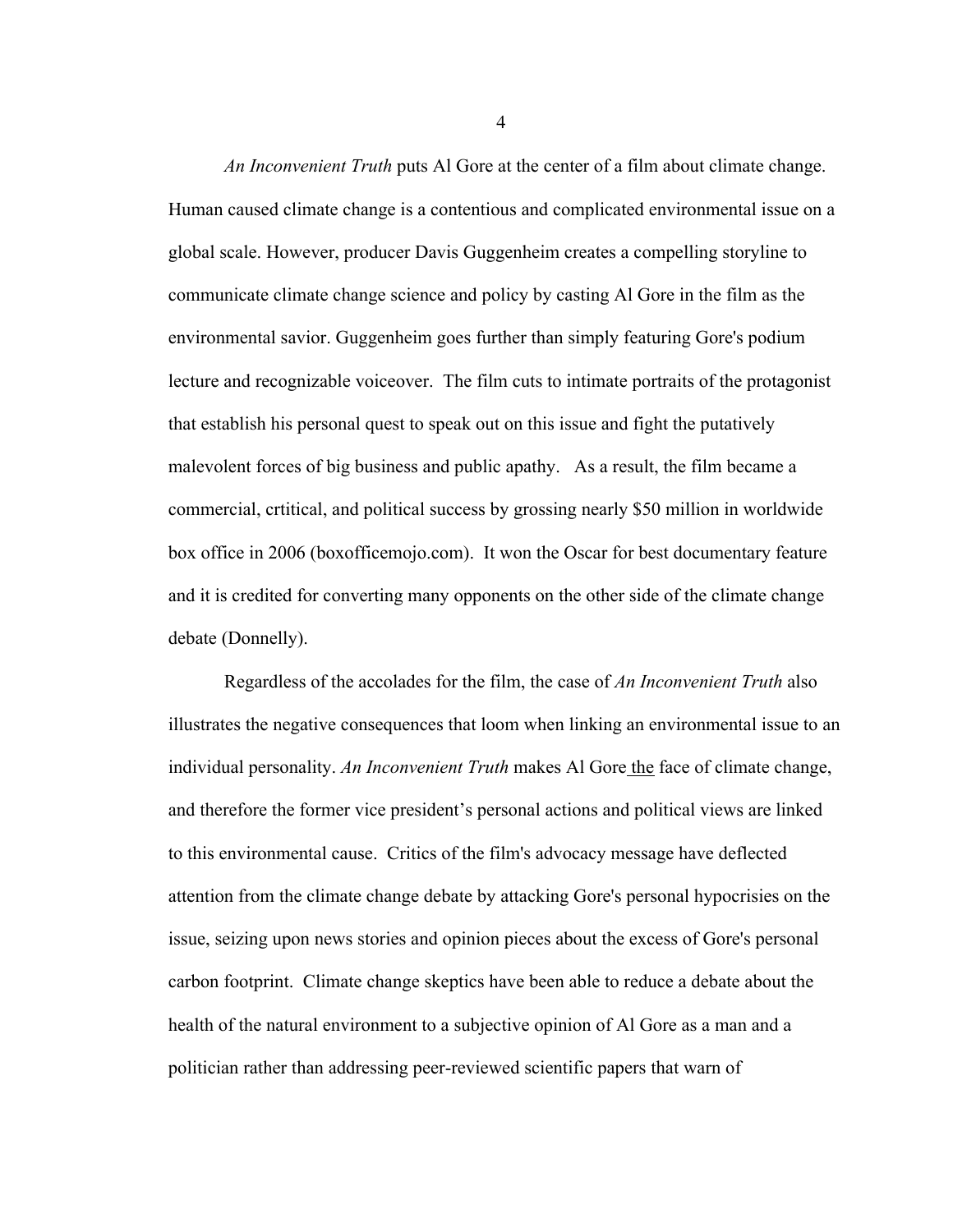*An Inconvenient Truth* puts Al Gore at the center of a film about climate change. Human caused climate change is a contentious and complicated environmental issue on a global scale. However, producer Davis Guggenheim creates a compelling storyline to communicate climate change science and policy by casting Al Gore in the film as the environmental savior. Guggenheim goes further than simply featuring Gore's podium lecture and recognizable voiceover. The film cuts to intimate portraits of the protagonist that establish his personal quest to speak out on this issue and fight the putatively malevolent forces of big business and public apathy. As a result, the film became a commercial, crtitical, and political success by grossing nearly \$50 million in worldwide box office in 2006 (boxofficemojo.com). It won the Oscar for best documentary feature and it is credited for converting many opponents on the other side of the climate change debate (Donnelly).

Regardless of the accolades for the film, the case of *An Inconvenient Truth* also illustrates the negative consequences that loom when linking an environmental issue to an individual personality. *An Inconvenient Truth* makes Al Gore the face of climate change, and therefore the former vice president's personal actions and political views are linked to this environmental cause. Critics of the film's advocacy message have deflected attention from the climate change debate by attacking Gore's personal hypocrisies on the issue, seizing upon news stories and opinion pieces about the excess of Gore's personal carbon footprint. Climate change skeptics have been able to reduce a debate about the health of the natural environment to a subjective opinion of Al Gore as a man and a politician rather than addressing peer-reviewed scientific papers that warn of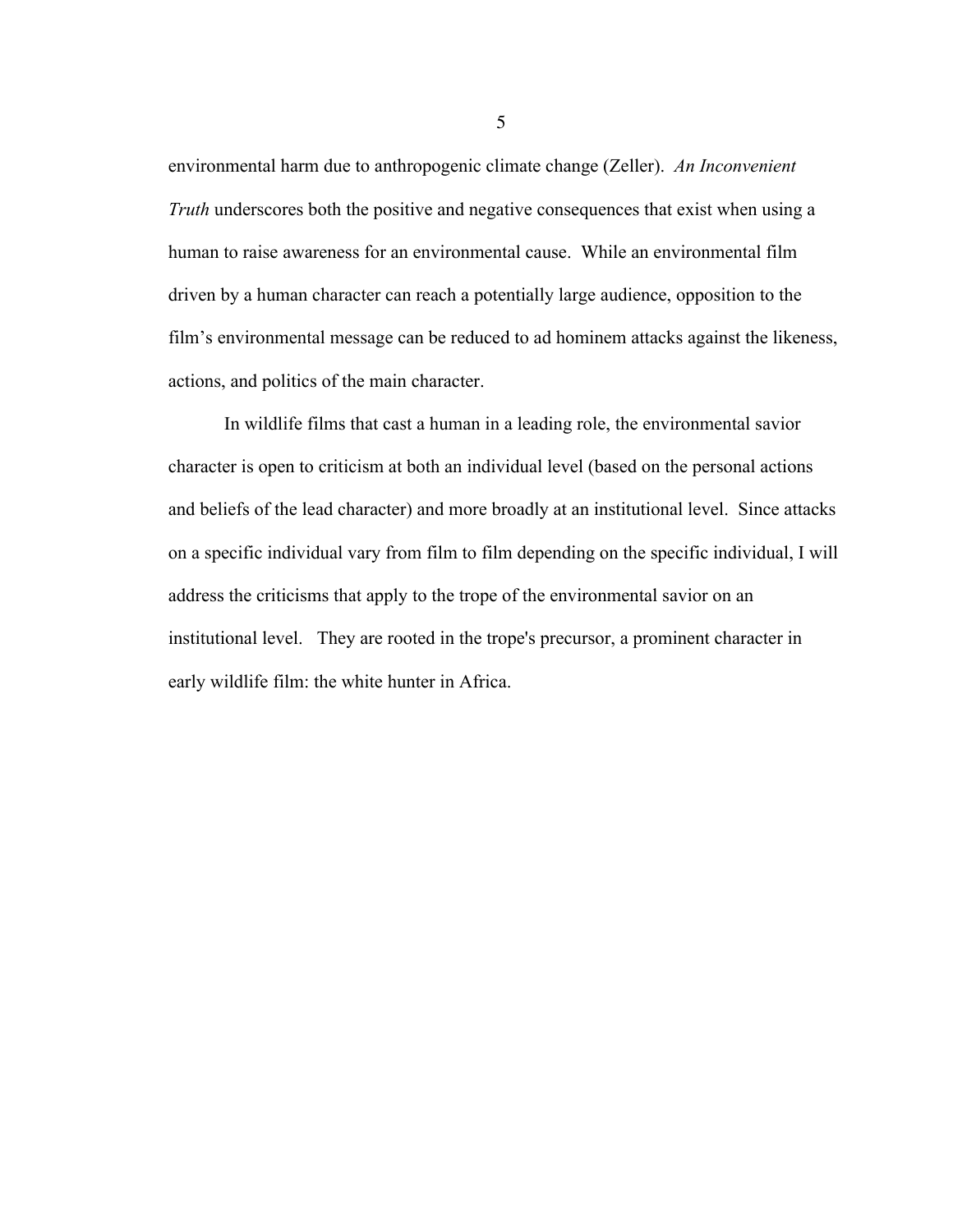environmental harm due to anthropogenic climate change (Zeller). *An Inconvenient Truth* underscores both the positive and negative consequences that exist when using a human to raise awareness for an environmental cause. While an environmental film driven by a human character can reach a potentially large audience, opposition to the film's environmental message can be reduced to ad hominem attacks against the likeness, actions, and politics of the main character.

In wildlife films that cast a human in a leading role, the environmental savior character is open to criticism at both an individual level (based on the personal actions and beliefs of the lead character) and more broadly at an institutional level. Since attacks on a specific individual vary from film to film depending on the specific individual, I will address the criticisms that apply to the trope of the environmental savior on an institutional level. They are rooted in the trope's precursor, a prominent character in early wildlife film: the white hunter in Africa.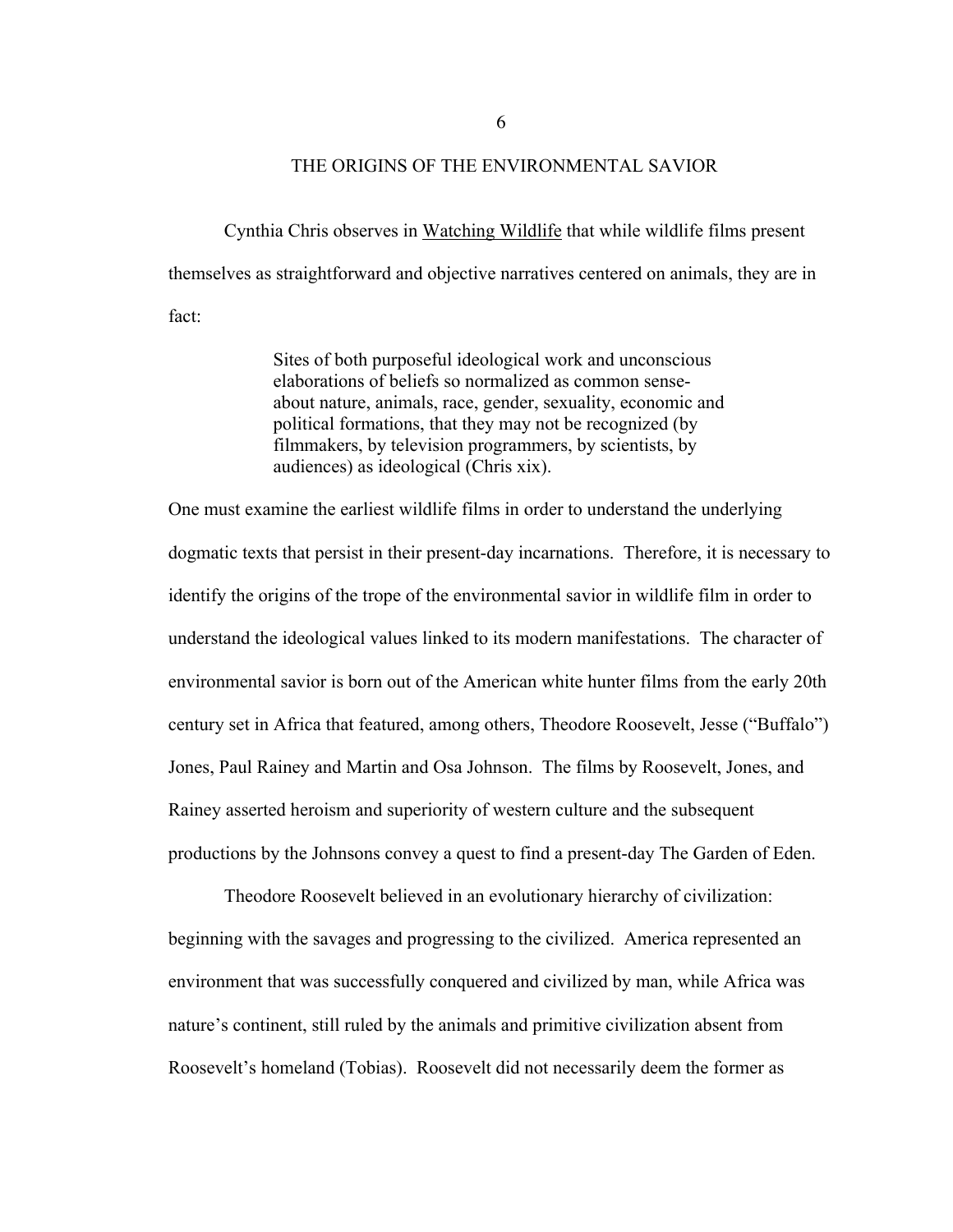### THE ORIGINS OF THE ENVIRONMENTAL SAVIOR

Cynthia Chris observes in Watching Wildlife that while wildlife films present themselves as straightforward and objective narratives centered on animals, they are in fact:

> Sites of both purposeful ideological work and unconscious elaborations of beliefs so normalized as common senseabout nature, animals, race, gender, sexuality, economic and political formations, that they may not be recognized (by filmmakers, by television programmers, by scientists, by audiences) as ideological (Chris xix).

One must examine the earliest wildlife films in order to understand the underlying dogmatic texts that persist in their present-day incarnations. Therefore, it is necessary to identify the origins of the trope of the environmental savior in wildlife film in order to understand the ideological values linked to its modern manifestations. The character of environmental savior is born out of the American white hunter films from the early 20th century set in Africa that featured, among others, Theodore Roosevelt, Jesse ("Buffalo") Jones, Paul Rainey and Martin and Osa Johnson. The films by Roosevelt, Jones, and Rainey asserted heroism and superiority of western culture and the subsequent productions by the Johnsons convey a quest to find a present-day The Garden of Eden.

Theodore Roosevelt believed in an evolutionary hierarchy of civilization: beginning with the savages and progressing to the civilized. America represented an environment that was successfully conquered and civilized by man, while Africa was nature's continent, still ruled by the animals and primitive civilization absent from Roosevelt's homeland (Tobias). Roosevelt did not necessarily deem the former as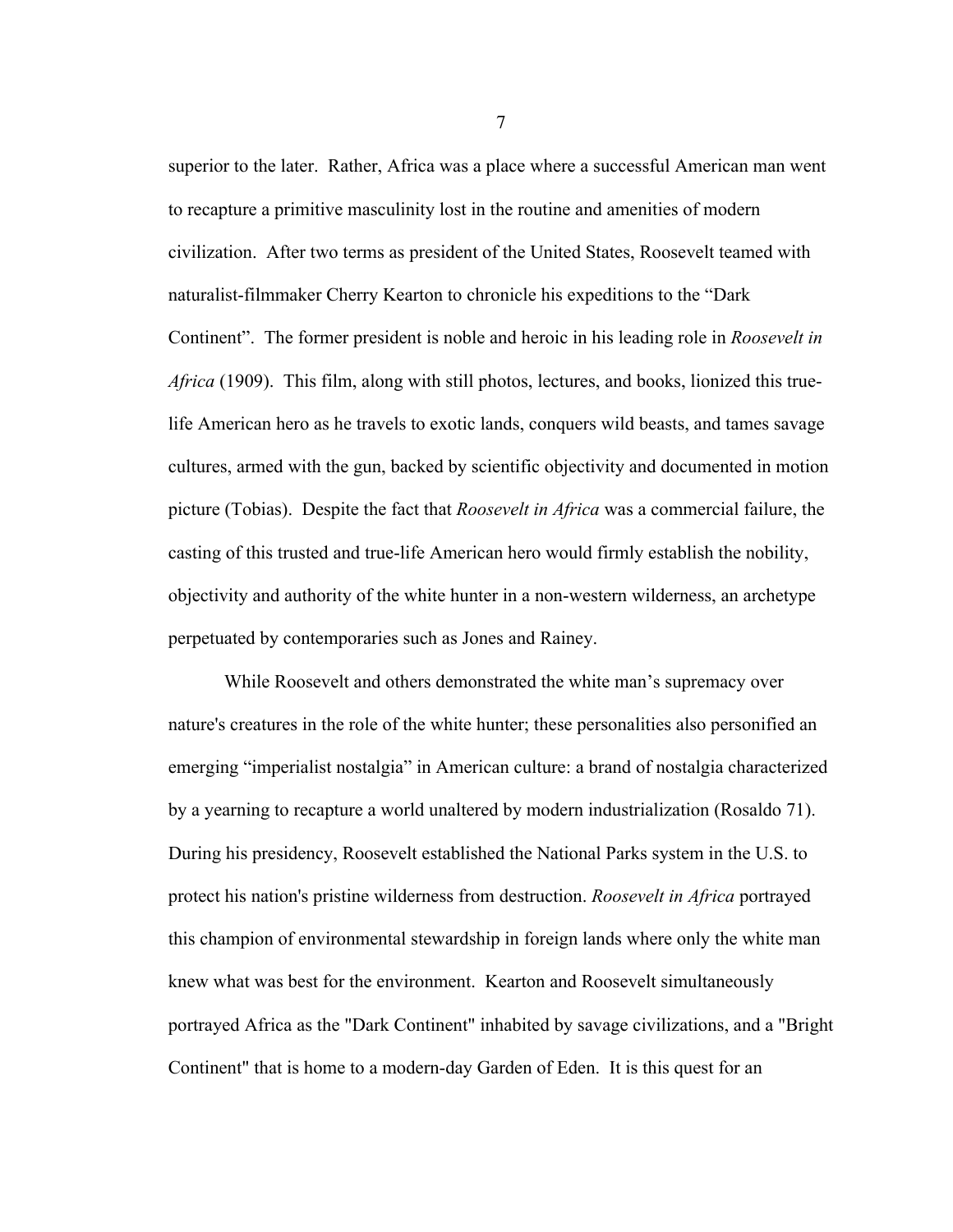superior to the later. Rather, Africa was a place where a successful American man went to recapture a primitive masculinity lost in the routine and amenities of modern civilization. After two terms as president of the United States, Roosevelt teamed with naturalist-filmmaker Cherry Kearton to chronicle his expeditions to the "Dark Continent". The former president is noble and heroic in his leading role in *Roosevelt in Africa* (1909). This film, along with still photos, lectures, and books, lionized this truelife American hero as he travels to exotic lands, conquers wild beasts, and tames savage cultures, armed with the gun, backed by scientific objectivity and documented in motion picture (Tobias). Despite the fact that *Roosevelt in Africa* was a commercial failure, the casting of this trusted and true-life American hero would firmly establish the nobility, objectivity and authority of the white hunter in a non-western wilderness, an archetype perpetuated by contemporaries such as Jones and Rainey.

While Roosevelt and others demonstrated the white man's supremacy over nature's creatures in the role of the white hunter; these personalities also personified an emerging "imperialist nostalgia" in American culture: a brand of nostalgia characterized by a yearning to recapture a world unaltered by modern industrialization (Rosaldo 71). During his presidency, Roosevelt established the National Parks system in the U.S. to protect his nation's pristine wilderness from destruction. *Roosevelt in Africa* portrayed this champion of environmental stewardship in foreign lands where only the white man knew what was best for the environment. Kearton and Roosevelt simultaneously portrayed Africa as the "Dark Continent" inhabited by savage civilizations, and a "Bright Continent" that is home to a modern-day Garden of Eden. It is this quest for an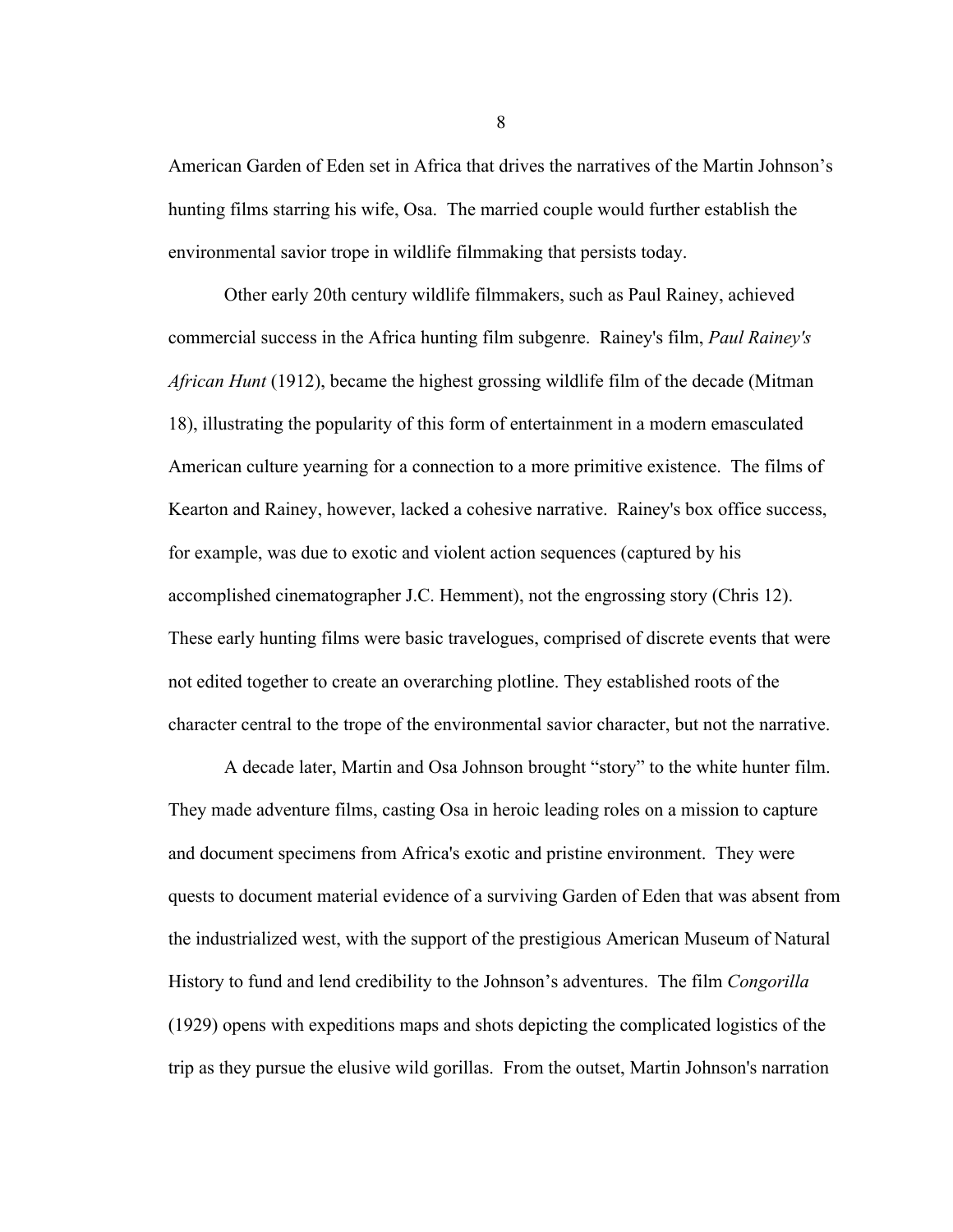American Garden of Eden set in Africa that drives the narratives of the Martin Johnson's hunting films starring his wife, Osa. The married couple would further establish the environmental savior trope in wildlife filmmaking that persists today.

Other early 20th century wildlife filmmakers, such as Paul Rainey, achieved commercial success in the Africa hunting film subgenre. Rainey's film, *Paul Rainey's African Hunt* (1912), became the highest grossing wildlife film of the decade (Mitman 18), illustrating the popularity of this form of entertainment in a modern emasculated American culture yearning for a connection to a more primitive existence. The films of Kearton and Rainey, however, lacked a cohesive narrative. Rainey's box office success, for example, was due to exotic and violent action sequences (captured by his accomplished cinematographer J.C. Hemment), not the engrossing story (Chris 12). These early hunting films were basic travelogues, comprised of discrete events that were not edited together to create an overarching plotline. They established roots of the character central to the trope of the environmental savior character, but not the narrative.

A decade later, Martin and Osa Johnson brought "story" to the white hunter film. They made adventure films, casting Osa in heroic leading roles on a mission to capture and document specimens from Africa's exotic and pristine environment. They were quests to document material evidence of a surviving Garden of Eden that was absent from the industrialized west, with the support of the prestigious American Museum of Natural History to fund and lend credibility to the Johnson's adventures. The film *Congorilla* (1929) opens with expeditions maps and shots depicting the complicated logistics of the trip as they pursue the elusive wild gorillas. From the outset, Martin Johnson's narration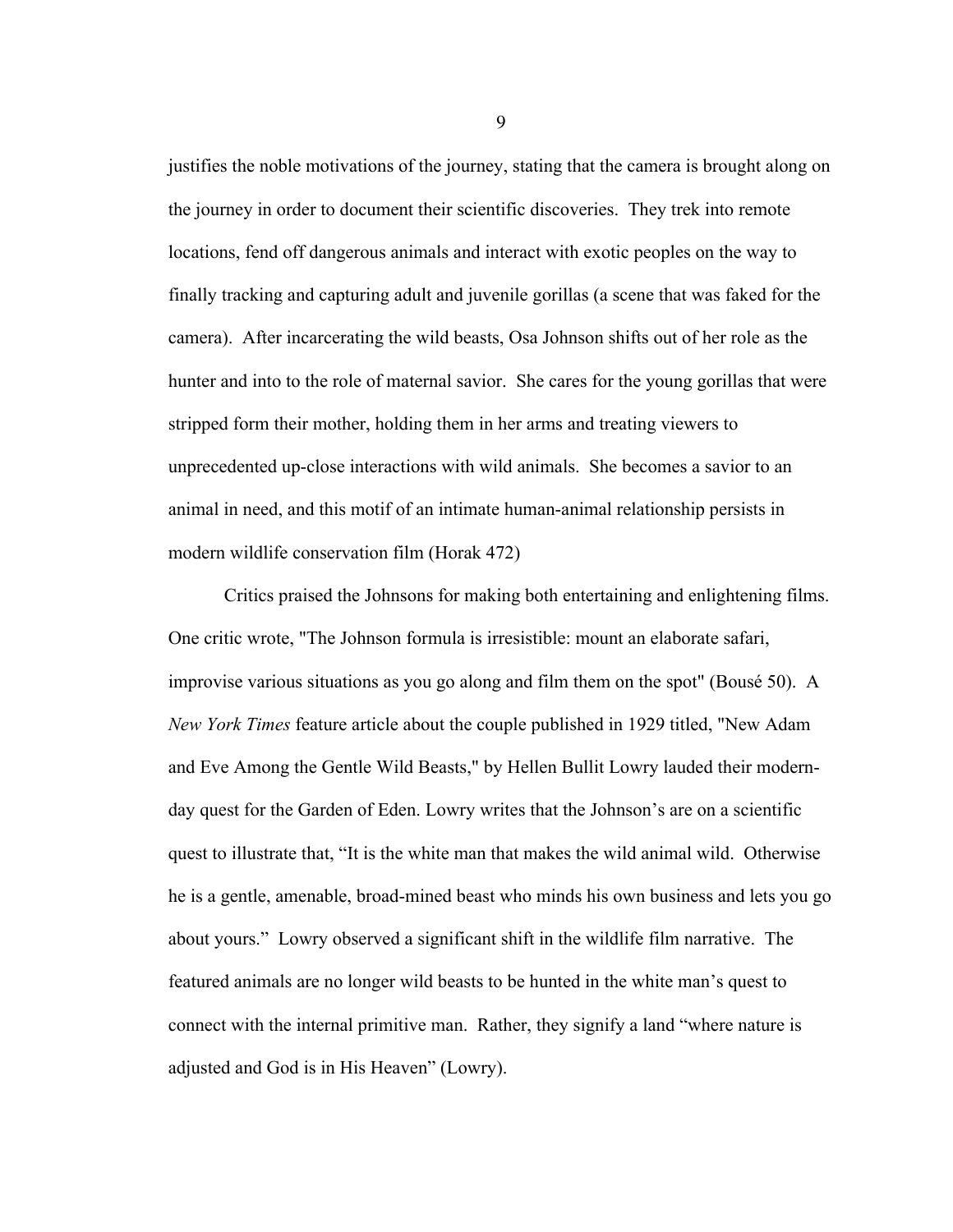justifies the noble motivations of the journey, stating that the camera is brought along on the journey in order to document their scientific discoveries. They trek into remote locations, fend off dangerous animals and interact with exotic peoples on the way to finally tracking and capturing adult and juvenile gorillas (a scene that was faked for the camera). After incarcerating the wild beasts, Osa Johnson shifts out of her role as the hunter and into to the role of maternal savior. She cares for the young gorillas that were stripped form their mother, holding them in her arms and treating viewers to unprecedented up-close interactions with wild animals. She becomes a savior to an animal in need, and this motif of an intimate human-animal relationship persists in modern wildlife conservation film (Horak 472)

Critics praised the Johnsons for making both entertaining and enlightening films. One critic wrote, "The Johnson formula is irresistible: mount an elaborate safari, improvise various situations as you go along and film them on the spot" (Bousé 50). A *New York Times* feature article about the couple published in 1929 titled, "New Adam and Eve Among the Gentle Wild Beasts," by Hellen Bullit Lowry lauded their modernday quest for the Garden of Eden. Lowry writes that the Johnson's are on a scientific quest to illustrate that, "It is the white man that makes the wild animal wild. Otherwise he is a gentle, amenable, broad-mined beast who minds his own business and lets you go about yours." Lowry observed a significant shift in the wildlife film narrative. The featured animals are no longer wild beasts to be hunted in the white man's quest to connect with the internal primitive man. Rather, they signify a land "where nature is adjusted and God is in His Heaven" (Lowry).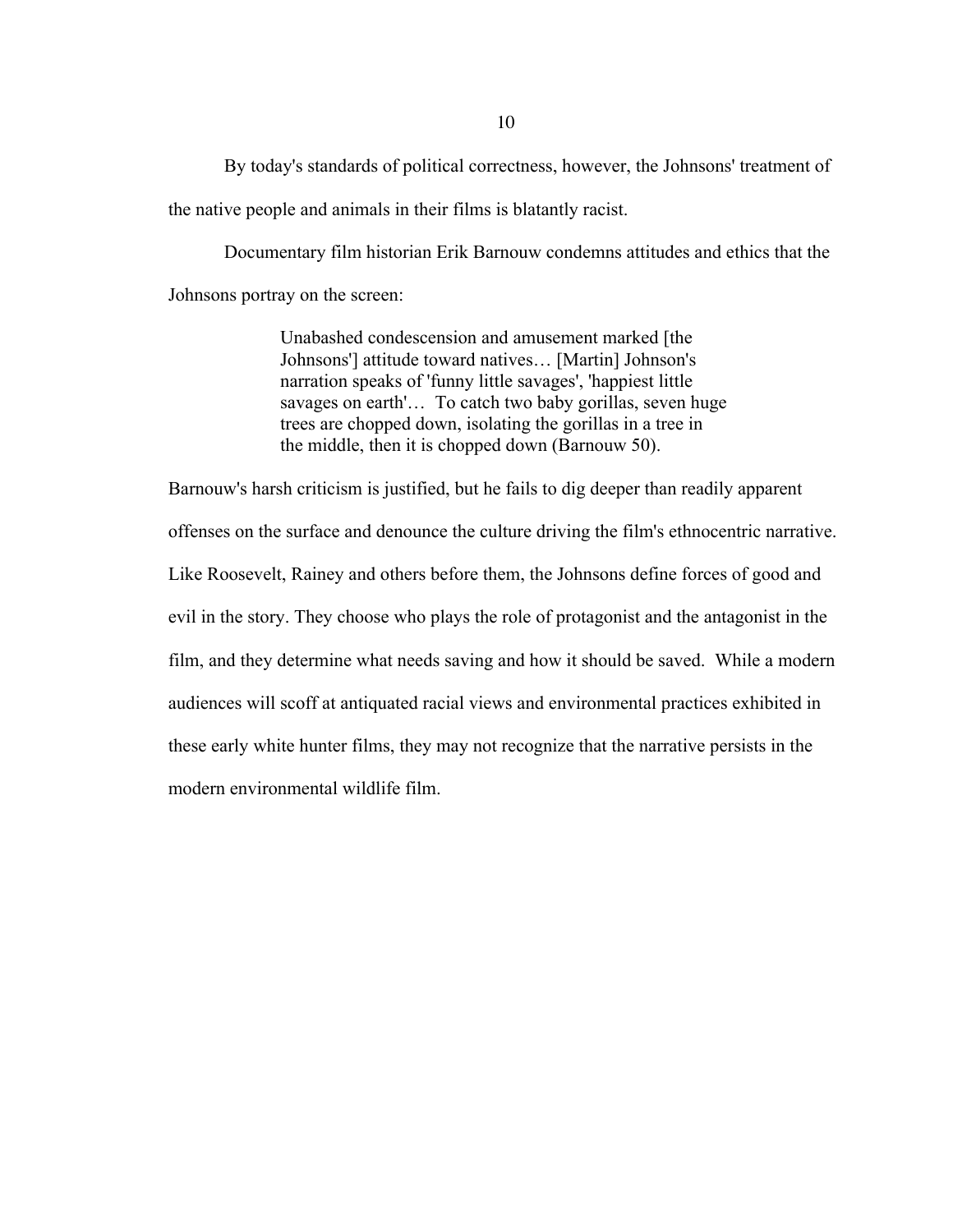By today's standards of political correctness, however, the Johnsons' treatment of the native people and animals in their films is blatantly racist.

Documentary film historian Erik Barnouw condemns attitudes and ethics that the Johnsons portray on the screen:

> Unabashed condescension and amusement marked [the Johnsons'] attitude toward natives… [Martin] Johnson's narration speaks of 'funny little savages', 'happiest little savages on earth'… To catch two baby gorillas, seven huge trees are chopped down, isolating the gorillas in a tree in the middle, then it is chopped down (Barnouw 50).

Barnouw's harsh criticism is justified, but he fails to dig deeper than readily apparent offenses on the surface and denounce the culture driving the film's ethnocentric narrative. Like Roosevelt, Rainey and others before them, the Johnsons define forces of good and evil in the story. They choose who plays the role of protagonist and the antagonist in the film, and they determine what needs saving and how it should be saved. While a modern audiences will scoff at antiquated racial views and environmental practices exhibited in these early white hunter films, they may not recognize that the narrative persists in the modern environmental wildlife film.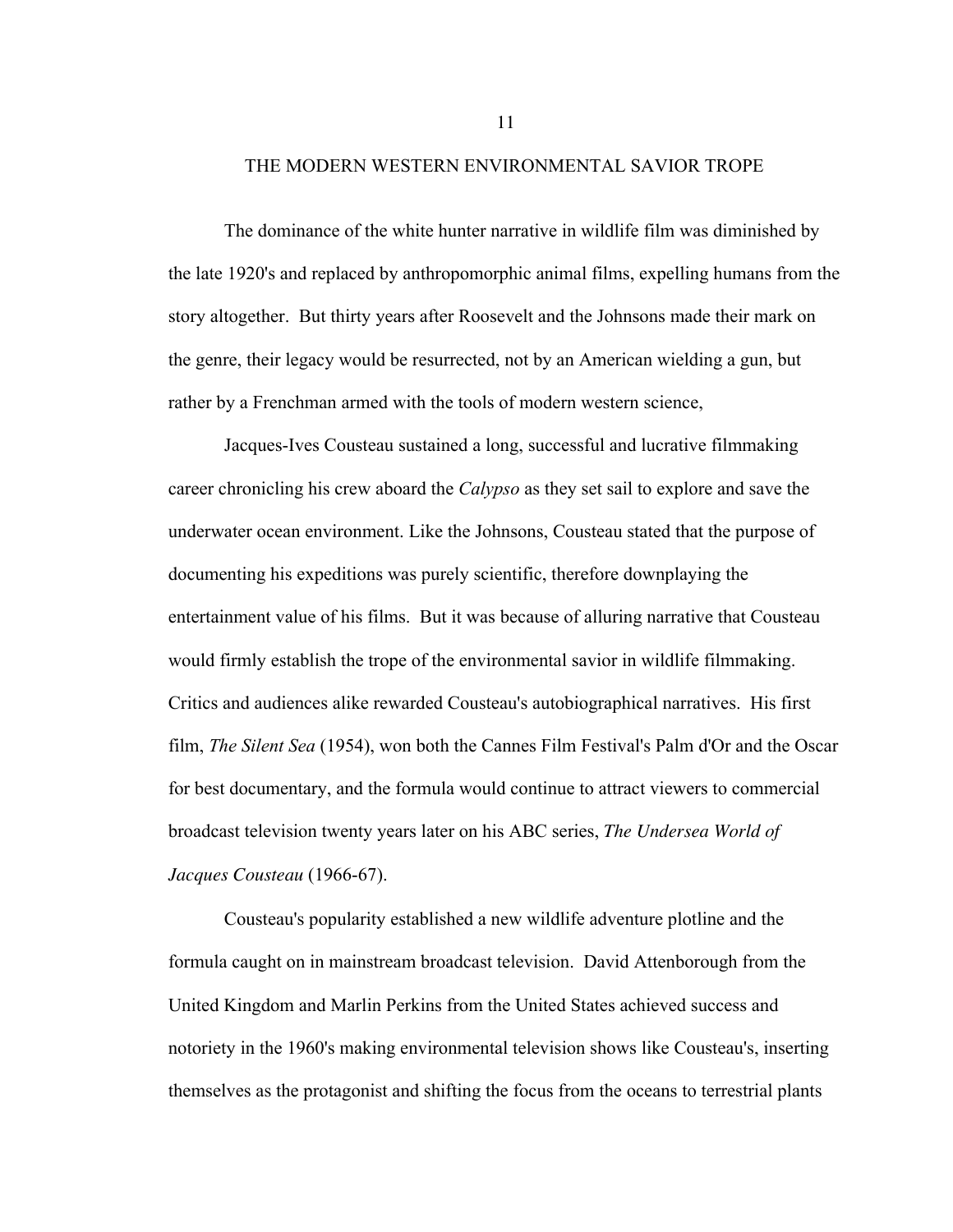#### THE MODERN WESTERN ENVIRONMENTAL SAVIOR TROPE

The dominance of the white hunter narrative in wildlife film was diminished by the late 1920's and replaced by anthropomorphic animal films, expelling humans from the story altogether. But thirty years after Roosevelt and the Johnsons made their mark on the genre, their legacy would be resurrected, not by an American wielding a gun, but rather by a Frenchman armed with the tools of modern western science,

Jacques-Ives Cousteau sustained a long, successful and lucrative filmmaking career chronicling his crew aboard the *Calypso* as they set sail to explore and save the underwater ocean environment. Like the Johnsons, Cousteau stated that the purpose of documenting his expeditions was purely scientific, therefore downplaying the entertainment value of his films. But it was because of alluring narrative that Cousteau would firmly establish the trope of the environmental savior in wildlife filmmaking. Critics and audiences alike rewarded Cousteau's autobiographical narratives. His first film, *The Silent Sea* (1954), won both the Cannes Film Festival's Palm d'Or and the Oscar for best documentary, and the formula would continue to attract viewers to commercial broadcast television twenty years later on his ABC series, *The Undersea World of Jacques Cousteau* (1966-67).

Cousteau's popularity established a new wildlife adventure plotline and the formula caught on in mainstream broadcast television. David Attenborough from the United Kingdom and Marlin Perkins from the United States achieved success and notoriety in the 1960's making environmental television shows like Cousteau's, inserting themselves as the protagonist and shifting the focus from the oceans to terrestrial plants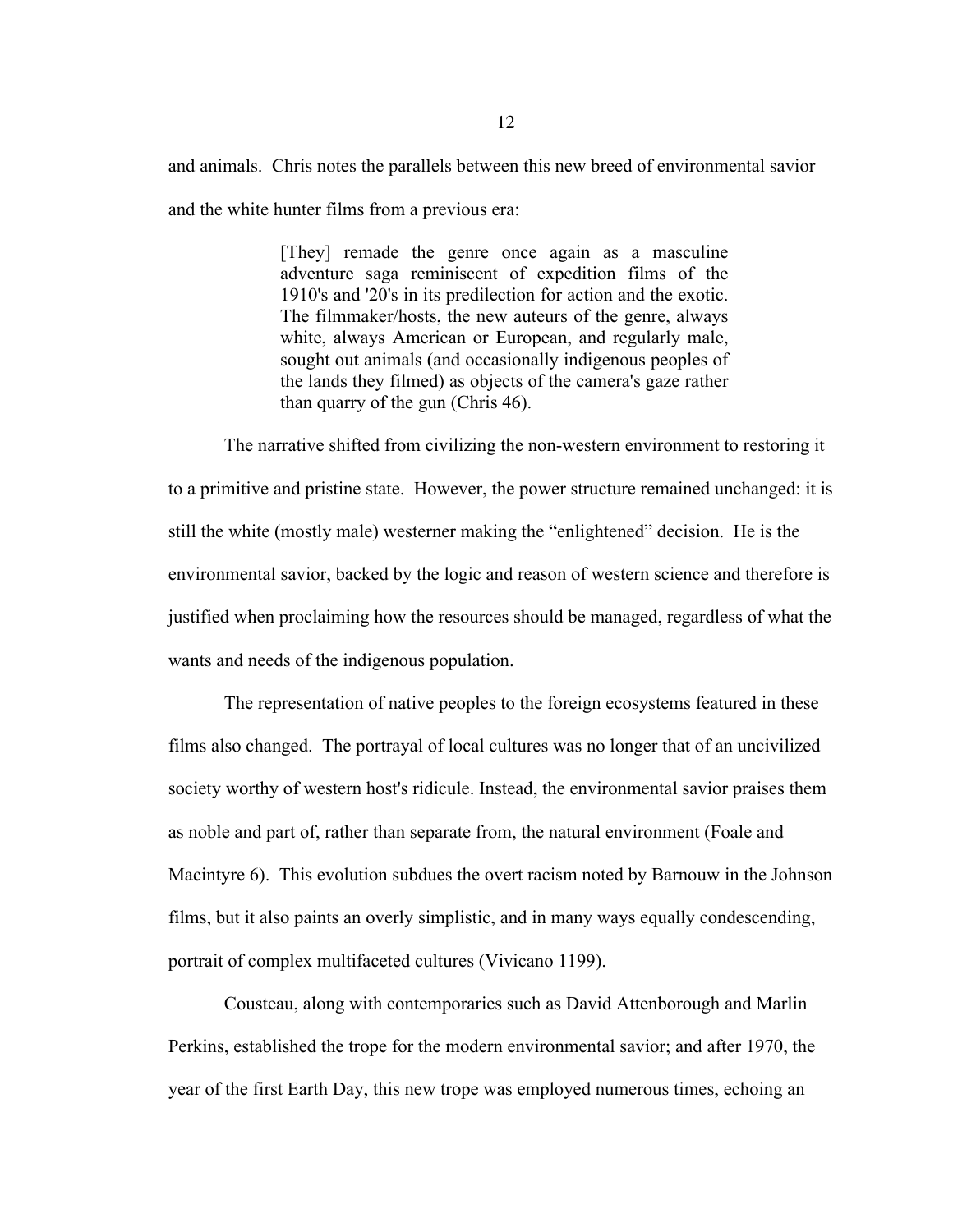and animals. Chris notes the parallels between this new breed of environmental savior and the white hunter films from a previous era:

> [They] remade the genre once again as a masculine adventure saga reminiscent of expedition films of the 1910's and '20's in its predilection for action and the exotic. The filmmaker/hosts, the new auteurs of the genre, always white, always American or European, and regularly male, sought out animals (and occasionally indigenous peoples of the lands they filmed) as objects of the camera's gaze rather than quarry of the gun (Chris 46).

The narrative shifted from civilizing the non-western environment to restoring it to a primitive and pristine state. However, the power structure remained unchanged: it is still the white (mostly male) westerner making the "enlightened" decision. He is the environmental savior, backed by the logic and reason of western science and therefore is justified when proclaiming how the resources should be managed, regardless of what the wants and needs of the indigenous population.

The representation of native peoples to the foreign ecosystems featured in these films also changed. The portrayal of local cultures was no longer that of an uncivilized society worthy of western host's ridicule. Instead, the environmental savior praises them as noble and part of, rather than separate from, the natural environment (Foale and Macintyre 6). This evolution subdues the overt racism noted by Barnouw in the Johnson films, but it also paints an overly simplistic, and in many ways equally condescending, portrait of complex multifaceted cultures (Vivicano 1199).

Cousteau, along with contemporaries such as David Attenborough and Marlin Perkins, established the trope for the modern environmental savior; and after 1970, the year of the first Earth Day, this new trope was employed numerous times, echoing an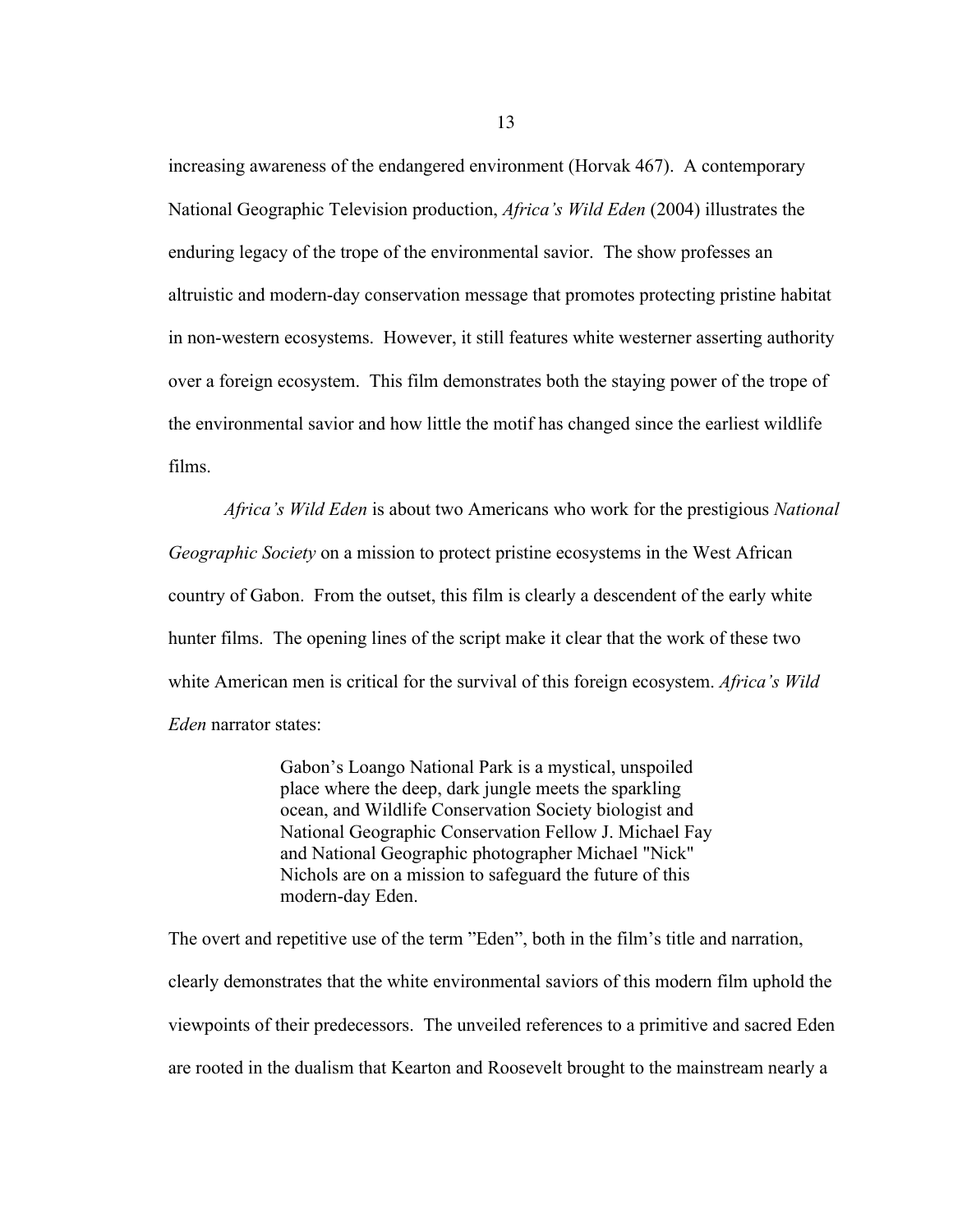increasing awareness of the endangered environment (Horvak 467). A contemporary National Geographic Television production, *Africa's Wild Eden* (2004) illustrates the enduring legacy of the trope of the environmental savior. The show professes an altruistic and modern-day conservation message that promotes protecting pristine habitat in non-western ecosystems. However, it still features white westerner asserting authority over a foreign ecosystem. This film demonstrates both the staying power of the trope of the environmental savior and how little the motif has changed since the earliest wildlife films.

*Africa's Wild Eden* is about two Americans who work for the prestigious *National Geographic Society* on a mission to protect pristine ecosystems in the West African country of Gabon. From the outset, this film is clearly a descendent of the early white hunter films. The opening lines of the script make it clear that the work of these two white American men is critical for the survival of this foreign ecosystem. *Africa's Wild Eden* narrator states:

> Gabon's Loango National Park is a mystical, unspoiled place where the deep, dark jungle meets the sparkling ocean, and Wildlife Conservation Society biologist and National Geographic Conservation Fellow J. Michael Fay and National Geographic photographer Michael "Nick" Nichols are on a mission to safeguard the future of this modern-day Eden.

The overt and repetitive use of the term "Eden", both in the film's title and narration, clearly demonstrates that the white environmental saviors of this modern film uphold the viewpoints of their predecessors. The unveiled references to a primitive and sacred Eden are rooted in the dualism that Kearton and Roosevelt brought to the mainstream nearly a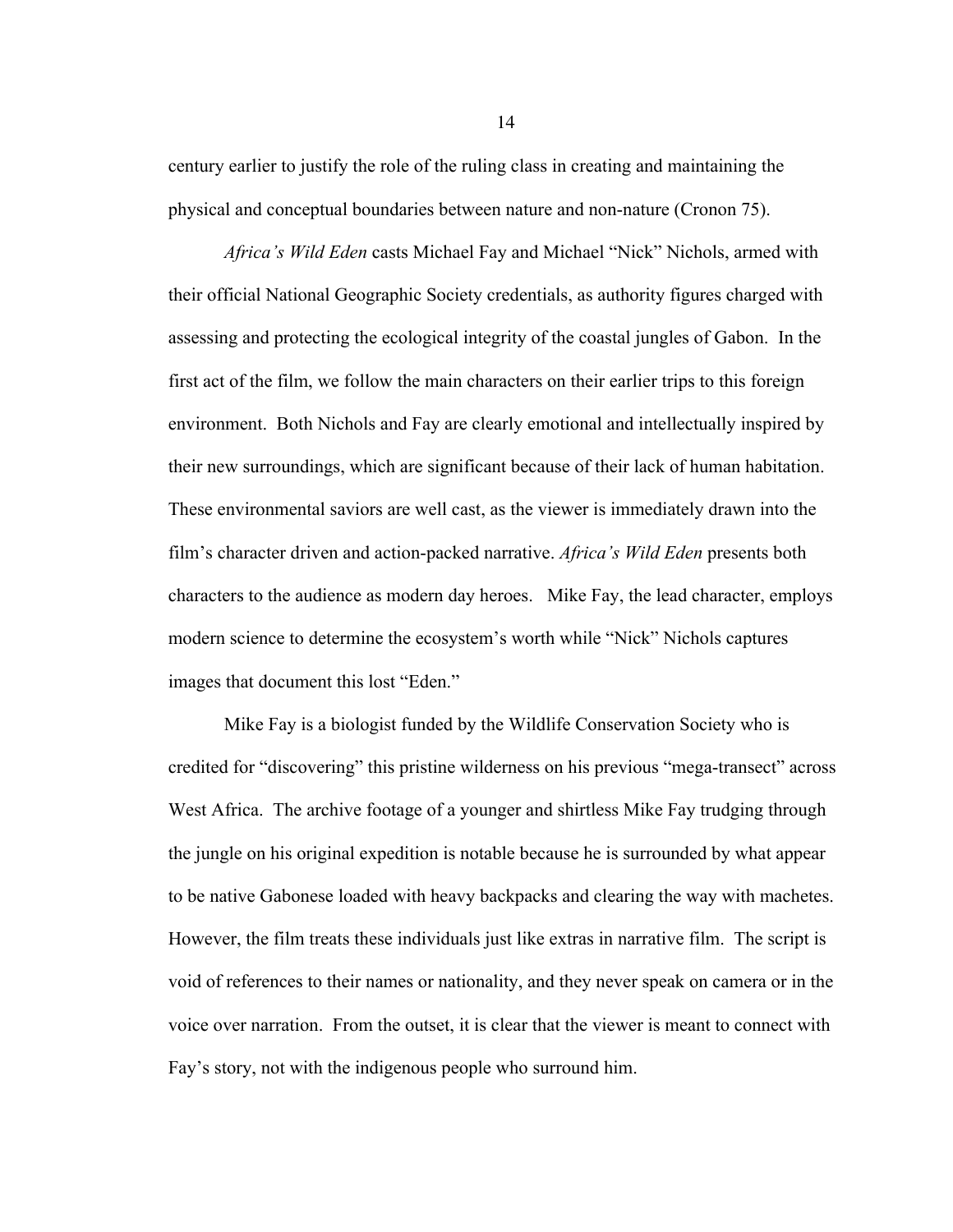century earlier to justify the role of the ruling class in creating and maintaining the physical and conceptual boundaries between nature and non-nature (Cronon 75).

*Africa's Wild Eden* casts Michael Fay and Michael "Nick" Nichols, armed with their official National Geographic Society credentials, as authority figures charged with assessing and protecting the ecological integrity of the coastal jungles of Gabon. In the first act of the film, we follow the main characters on their earlier trips to this foreign environment. Both Nichols and Fay are clearly emotional and intellectually inspired by their new surroundings, which are significant because of their lack of human habitation. These environmental saviors are well cast, as the viewer is immediately drawn into the film's character driven and action-packed narrative. *Africa's Wild Eden* presents both characters to the audience as modern day heroes. Mike Fay, the lead character, employs modern science to determine the ecosystem's worth while "Nick" Nichols captures images that document this lost "Eden."

Mike Fay is a biologist funded by the Wildlife Conservation Society who is credited for "discovering" this pristine wilderness on his previous "mega-transect" across West Africa. The archive footage of a younger and shirtless Mike Fay trudging through the jungle on his original expedition is notable because he is surrounded by what appear to be native Gabonese loaded with heavy backpacks and clearing the way with machetes. However, the film treats these individuals just like extras in narrative film. The script is void of references to their names or nationality, and they never speak on camera or in the voice over narration. From the outset, it is clear that the viewer is meant to connect with Fay's story, not with the indigenous people who surround him.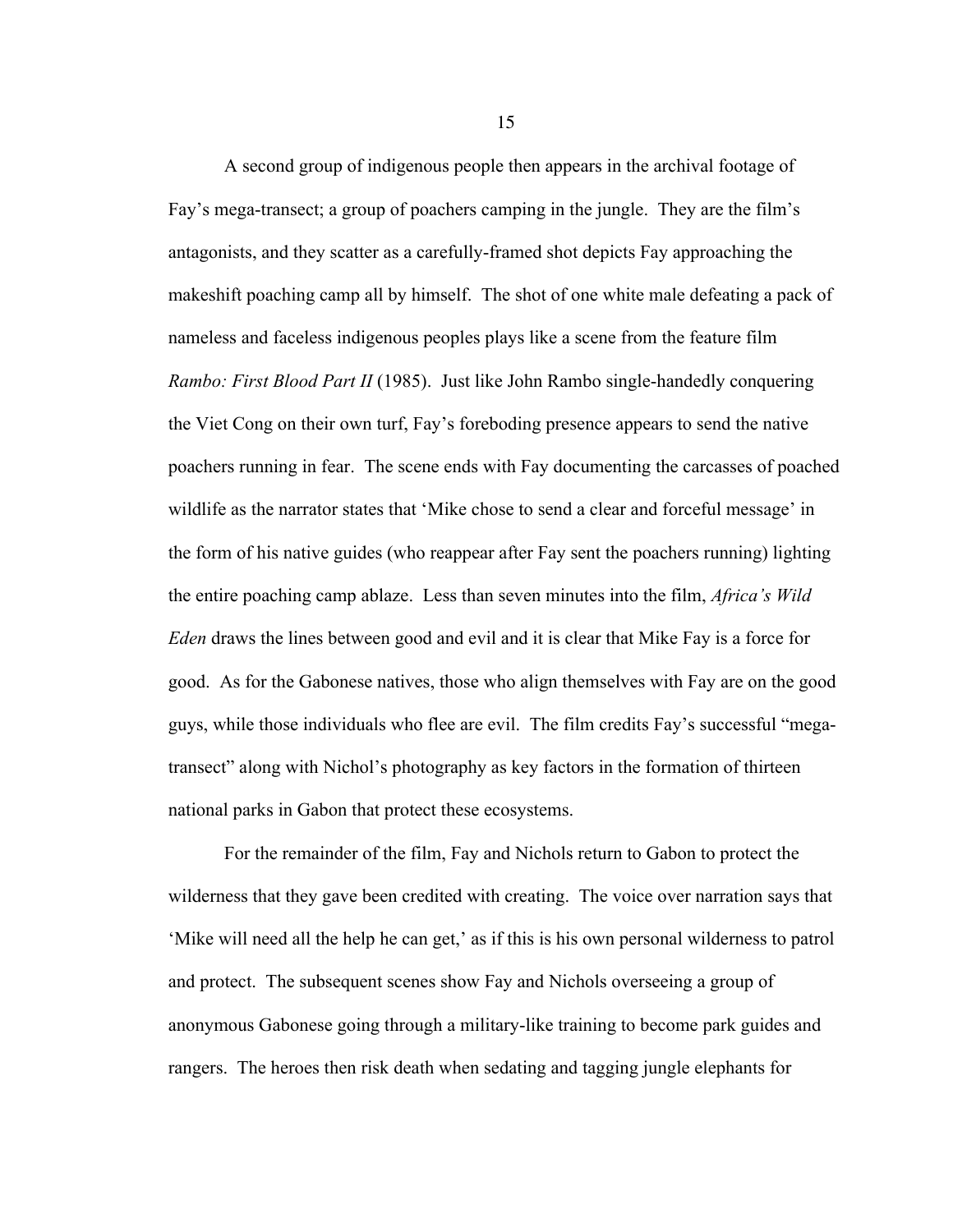A second group of indigenous people then appears in the archival footage of Fay's mega-transect; a group of poachers camping in the jungle. They are the film's antagonists, and they scatter as a carefully-framed shot depicts Fay approaching the makeshift poaching camp all by himself. The shot of one white male defeating a pack of nameless and faceless indigenous peoples plays like a scene from the feature film *Rambo: First Blood Part II* (1985). Just like John Rambo single-handedly conquering the Viet Cong on their own turf, Fay's foreboding presence appears to send the native poachers running in fear. The scene ends with Fay documenting the carcasses of poached wildlife as the narrator states that 'Mike chose to send a clear and forceful message' in the form of his native guides (who reappear after Fay sent the poachers running) lighting the entire poaching camp ablaze. Less than seven minutes into the film, *Africa's Wild Eden* draws the lines between good and evil and it is clear that Mike Fay is a force for good. As for the Gabonese natives, those who align themselves with Fay are on the good guys, while those individuals who flee are evil. The film credits Fay's successful "megatransect" along with Nichol's photography as key factors in the formation of thirteen national parks in Gabon that protect these ecosystems.

For the remainder of the film, Fay and Nichols return to Gabon to protect the wilderness that they gave been credited with creating. The voice over narration says that 'Mike will need all the help he can get,' as if this is his own personal wilderness to patrol and protect. The subsequent scenes show Fay and Nichols overseeing a group of anonymous Gabonese going through a military-like training to become park guides and rangers. The heroes then risk death when sedating and tagging jungle elephants for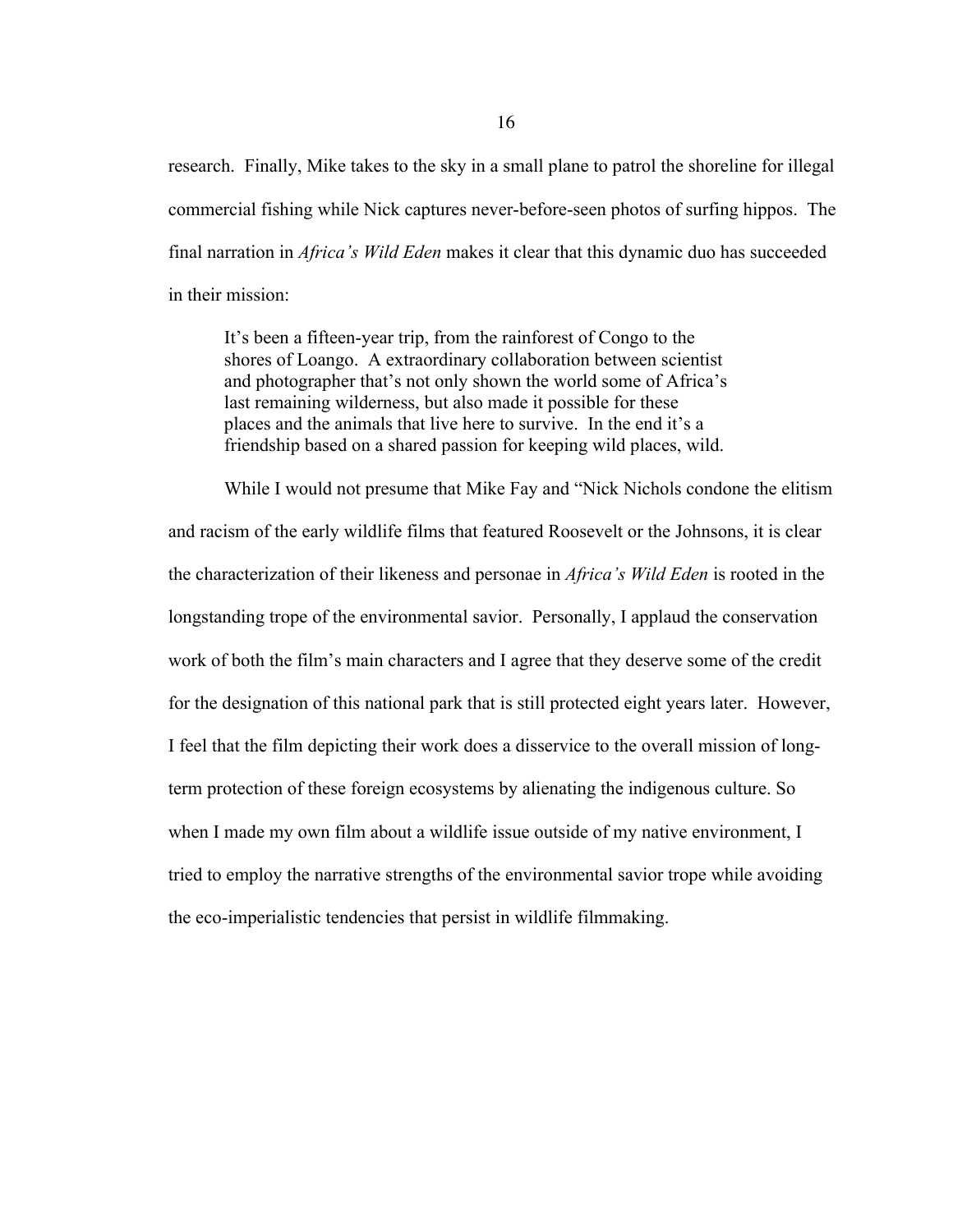research. Finally, Mike takes to the sky in a small plane to patrol the shoreline for illegal commercial fishing while Nick captures never-before-seen photos of surfing hippos. The final narration in *Africa's Wild Eden* makes it clear that this dynamic duo has succeeded in their mission:

It's been a fifteen-year trip, from the rainforest of Congo to the shores of Loango. A extraordinary collaboration between scientist and photographer that's not only shown the world some of Africa's last remaining wilderness, but also made it possible for these places and the animals that live here to survive. In the end it's a friendship based on a shared passion for keeping wild places, wild.

While I would not presume that Mike Fay and "Nick Nichols condone the elitism and racism of the early wildlife films that featured Roosevelt or the Johnsons, it is clear the characterization of their likeness and personae in *Africa's Wild Eden* is rooted in the longstanding trope of the environmental savior. Personally, I applaud the conservation work of both the film's main characters and I agree that they deserve some of the credit for the designation of this national park that is still protected eight years later. However, I feel that the film depicting their work does a disservice to the overall mission of longterm protection of these foreign ecosystems by alienating the indigenous culture. So when I made my own film about a wildlife issue outside of my native environment, I tried to employ the narrative strengths of the environmental savior trope while avoiding the eco-imperialistic tendencies that persist in wildlife filmmaking.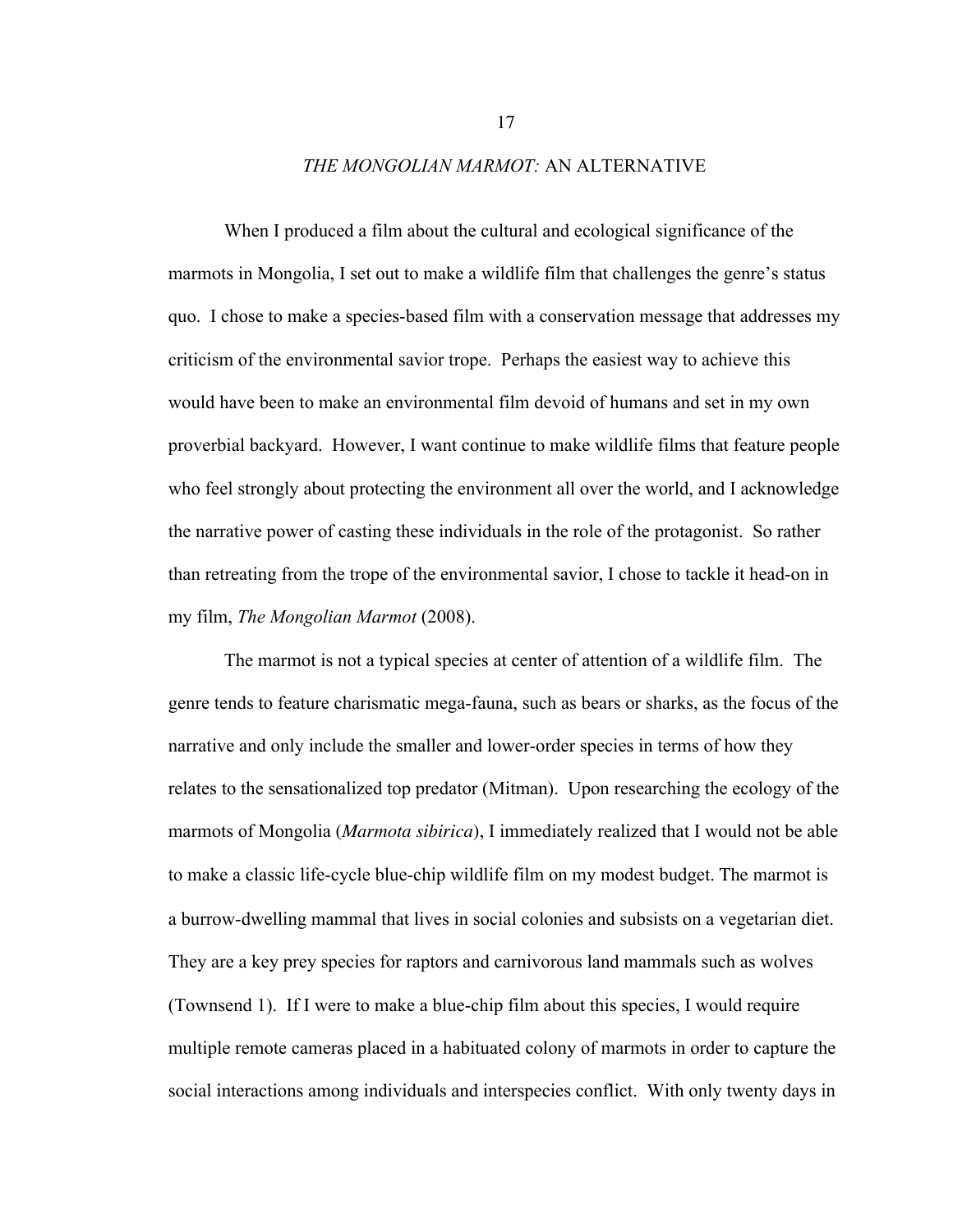### *THE MONGOLIAN MARMOT:* AN ALTERNATIVE

When I produced a film about the cultural and ecological significance of the marmots in Mongolia, I set out to make a wildlife film that challenges the genre's status quo. I chose to make a species-based film with a conservation message that addresses my criticism of the environmental savior trope. Perhaps the easiest way to achieve this would have been to make an environmental film devoid of humans and set in my own proverbial backyard. However, I want continue to make wildlife films that feature people who feel strongly about protecting the environment all over the world, and I acknowledge the narrative power of casting these individuals in the role of the protagonist. So rather than retreating from the trope of the environmental savior, I chose to tackle it head-on in my film, *The Mongolian Marmot* (2008).

The marmot is not a typical species at center of attention of a wildlife film. The genre tends to feature charismatic mega-fauna, such as bears or sharks, as the focus of the narrative and only include the smaller and lower-order species in terms of how they relates to the sensationalized top predator (Mitman). Upon researching the ecology of the marmots of Mongolia (*Marmota sibirica*), I immediately realized that I would not be able to make a classic life-cycle blue-chip wildlife film on my modest budget. The marmot is a burrow-dwelling mammal that lives in social colonies and subsists on a vegetarian diet. They are a key prey species for raptors and carnivorous land mammals such as wolves (Townsend 1). If I were to make a blue-chip film about this species, I would require multiple remote cameras placed in a habituated colony of marmots in order to capture the social interactions among individuals and interspecies conflict. With only twenty days in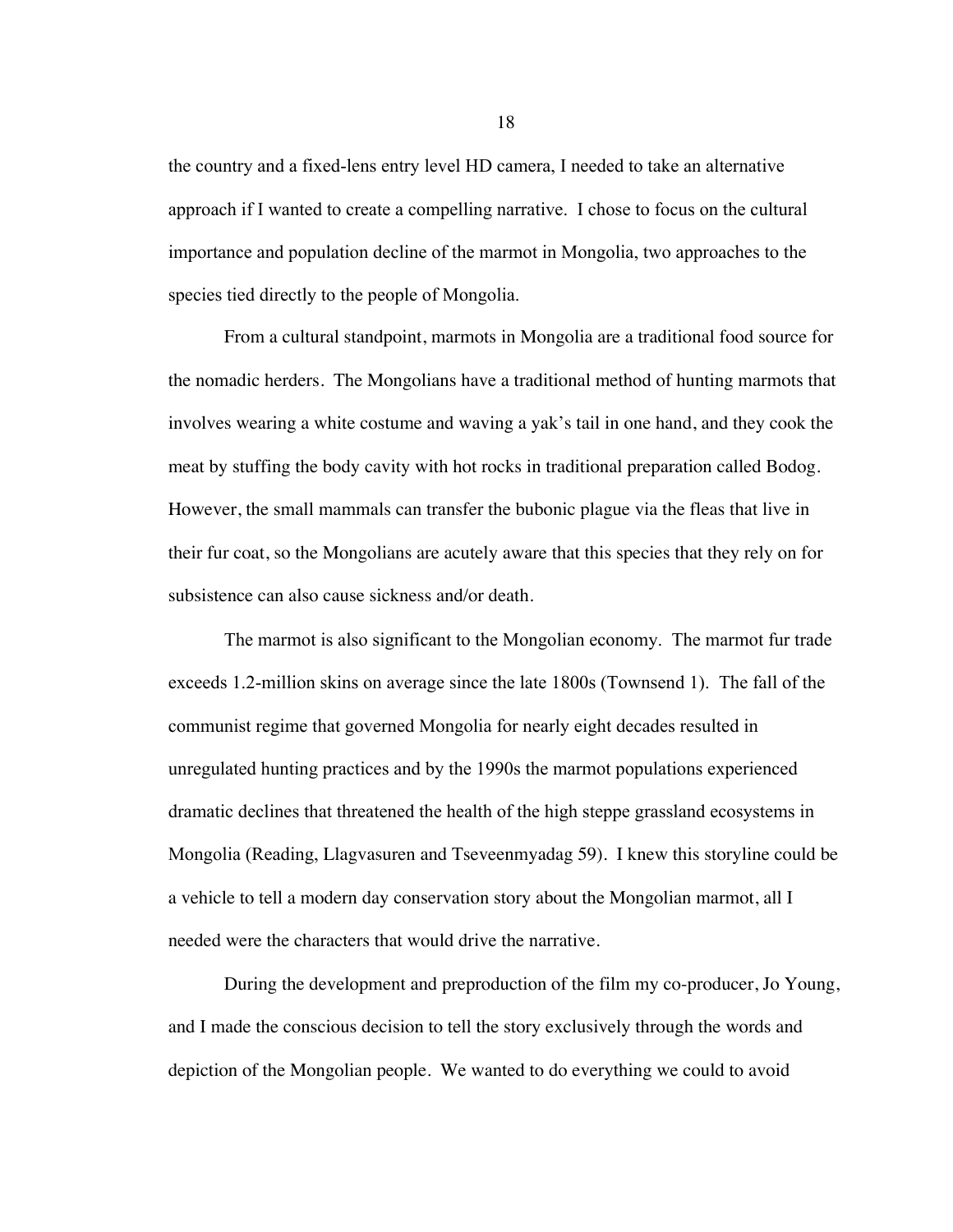the country and a fixed-lens entry level HD camera, I needed to take an alternative approach if I wanted to create a compelling narrative. I chose to focus on the cultural importance and population decline of the marmot in Mongolia, two approaches to the species tied directly to the people of Mongolia.

From a cultural standpoint, marmots in Mongolia are a traditional food source for the nomadic herders. The Mongolians have a traditional method of hunting marmots that involves wearing a white costume and waving a yak's tail in one hand, and they cook the meat by stuffing the body cavity with hot rocks in traditional preparation called Bodog. However, the small mammals can transfer the bubonic plague via the fleas that live in their fur coat, so the Mongolians are acutely aware that this species that they rely on for subsistence can also cause sickness and/or death.

The marmot is also significant to the Mongolian economy. The marmot fur trade exceeds 1.2-million skins on average since the late 1800s (Townsend 1). The fall of the communist regime that governed Mongolia for nearly eight decades resulted in unregulated hunting practices and by the 1990s the marmot populations experienced dramatic declines that threatened the health of the high steppe grassland ecosystems in Mongolia (Reading, Llagvasuren and Tseveenmyadag 59). I knew this storyline could be a vehicle to tell a modern day conservation story about the Mongolian marmot, all I needed were the characters that would drive the narrative.

During the development and preproduction of the film my co-producer, Jo Young, and I made the conscious decision to tell the story exclusively through the words and depiction of the Mongolian people. We wanted to do everything we could to avoid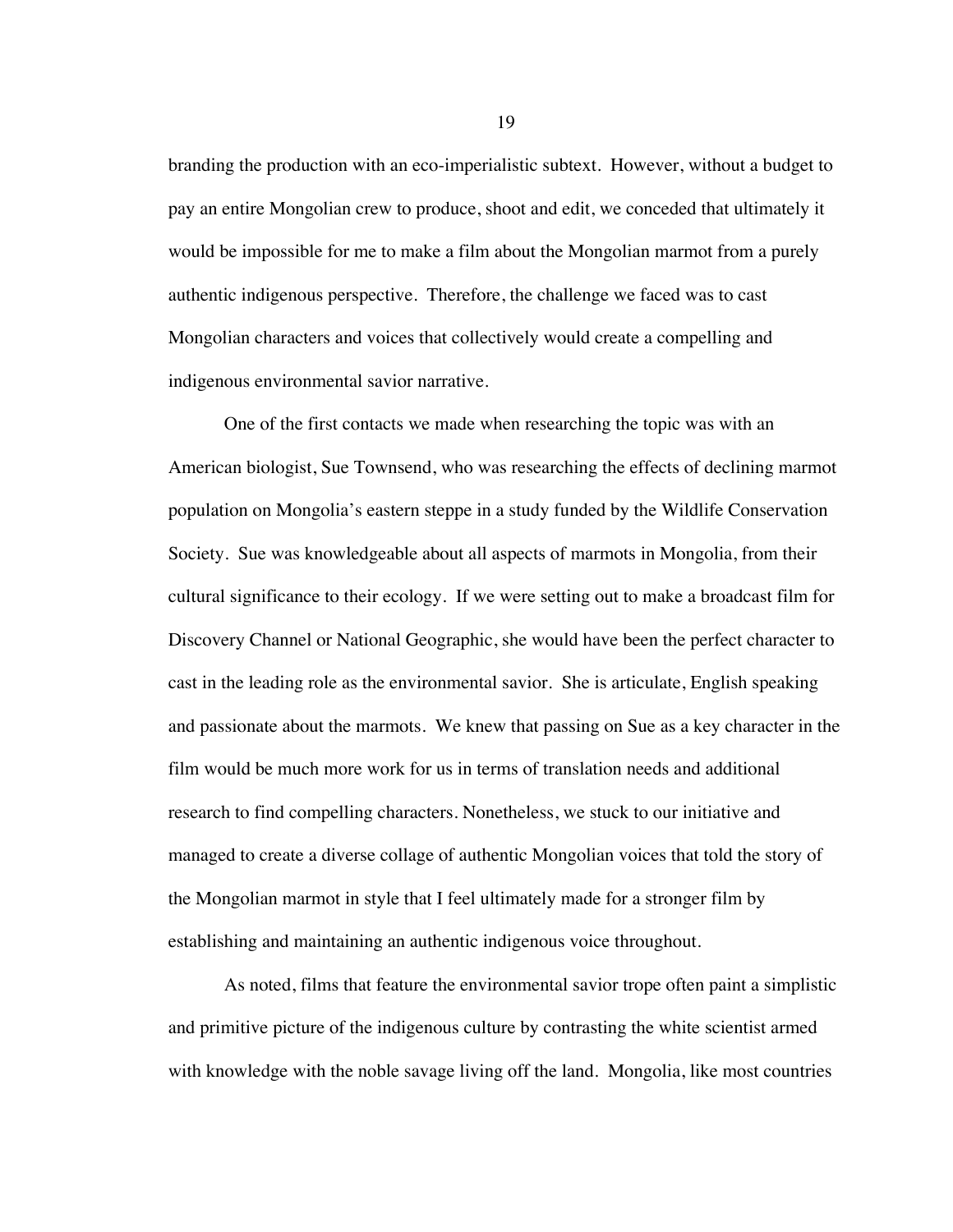branding the production with an eco-imperialistic subtext. However, without a budget to pay an entire Mongolian crew to produce, shoot and edit, we conceded that ultimately it would be impossible for me to make a film about the Mongolian marmot from a purely authentic indigenous perspective. Therefore, the challenge we faced was to cast Mongolian characters and voices that collectively would create a compelling and indigenous environmental savior narrative.

One of the first contacts we made when researching the topic was with an American biologist, Sue Townsend, who was researching the effects of declining marmot population on Mongolia's eastern steppe in a study funded by the Wildlife Conservation Society. Sue was knowledgeable about all aspects of marmots in Mongolia, from their cultural significance to their ecology. If we were setting out to make a broadcast film for Discovery Channel or National Geographic, she would have been the perfect character to cast in the leading role as the environmental savior. She is articulate, English speaking and passionate about the marmots. We knew that passing on Sue as a key character in the film would be much more work for us in terms of translation needs and additional research to find compelling characters. Nonetheless, we stuck to our initiative and managed to create a diverse collage of authentic Mongolian voices that told the story of the Mongolian marmot in style that I feel ultimately made for a stronger film by establishing and maintaining an authentic indigenous voice throughout.

As noted, films that feature the environmental savior trope often paint a simplistic and primitive picture of the indigenous culture by contrasting the white scientist armed with knowledge with the noble savage living off the land. Mongolia, like most countries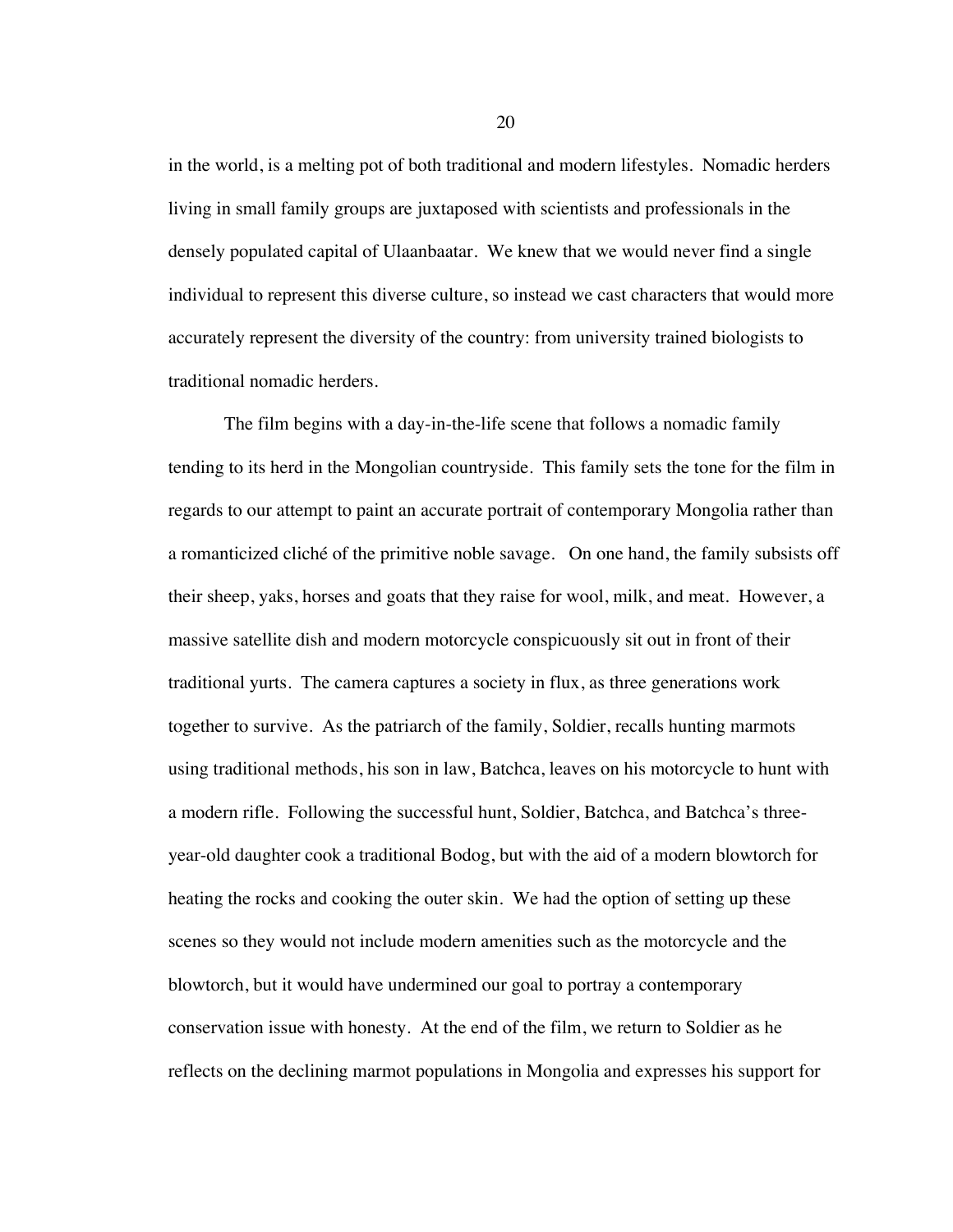in the world, is a melting pot of both traditional and modern lifestyles. Nomadic herders living in small family groups are juxtaposed with scientists and professionals in the densely populated capital of Ulaanbaatar. We knew that we would never find a single individual to represent this diverse culture, so instead we cast characters that would more accurately represent the diversity of the country: from university trained biologists to traditional nomadic herders.

The film begins with a day-in-the-life scene that follows a nomadic family tending to its herd in the Mongolian countryside. This family sets the tone for the film in regards to our attempt to paint an accurate portrait of contemporary Mongolia rather than a romanticized cliché of the primitive noble savage. On one hand, the family subsists off their sheep, yaks, horses and goats that they raise for wool, milk, and meat. However, a massive satellite dish and modern motorcycle conspicuously sit out in front of their traditional yurts. The camera captures a society in flux, as three generations work together to survive. As the patriarch of the family, Soldier, recalls hunting marmots using traditional methods, his son in law, Batchca, leaves on his motorcycle to hunt with a modern rifle. Following the successful hunt, Soldier, Batchca, and Batchca's threeyear-old daughter cook a traditional Bodog, but with the aid of a modern blowtorch for heating the rocks and cooking the outer skin. We had the option of setting up these scenes so they would not include modern amenities such as the motorcycle and the blowtorch, but it would have undermined our goal to portray a contemporary conservation issue with honesty. At the end of the film, we return to Soldier as he reflects on the declining marmot populations in Mongolia and expresses his support for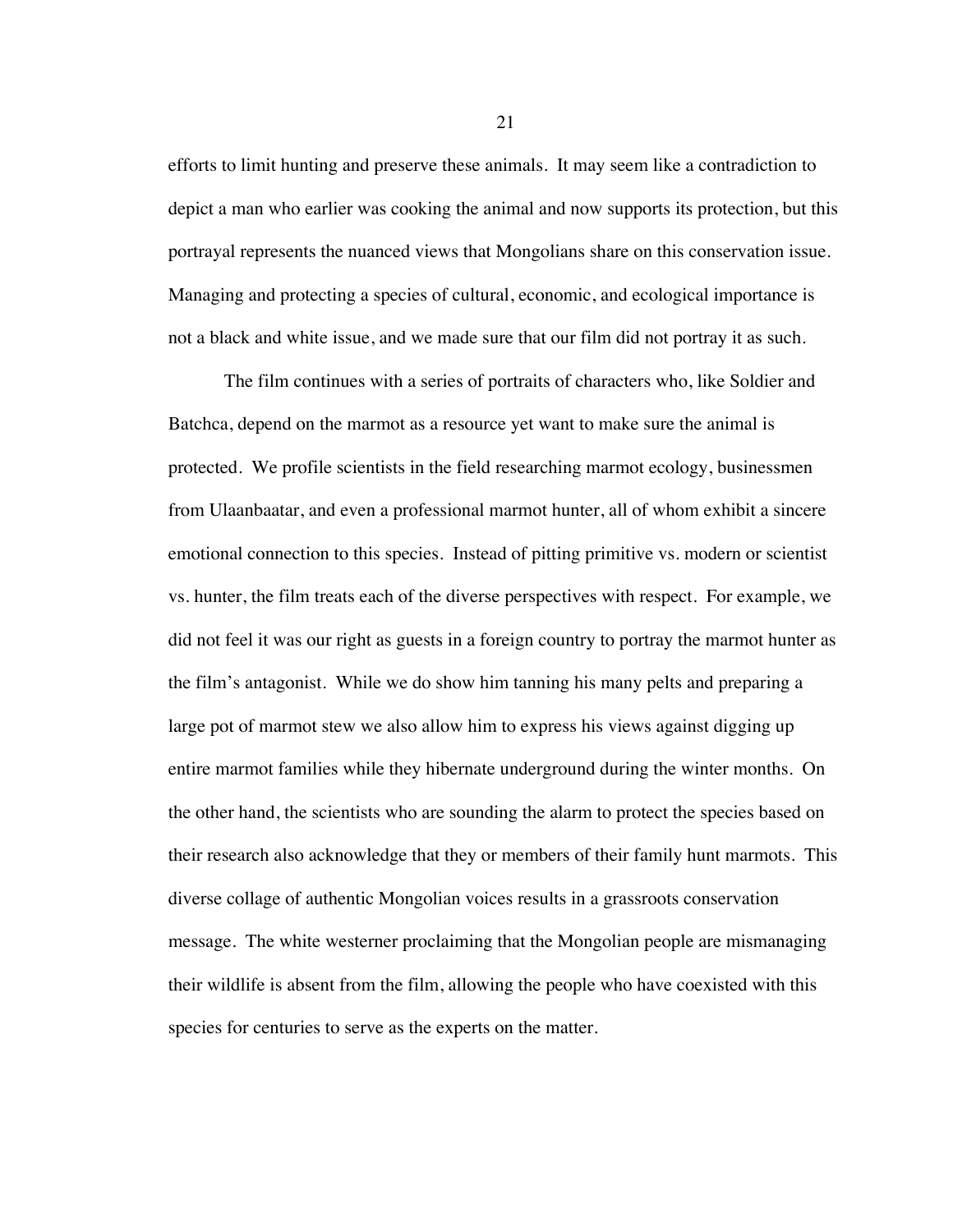efforts to limit hunting and preserve these animals. It may seem like a contradiction to depict a man who earlier was cooking the animal and now supports its protection, but this portrayal represents the nuanced views that Mongolians share on this conservation issue. Managing and protecting a species of cultural, economic, and ecological importance is not a black and white issue, and we made sure that our film did not portray it as such.

The film continues with a series of portraits of characters who, like Soldier and Batchca, depend on the marmot as a resource yet want to make sure the animal is protected. We profile scientists in the field researching marmot ecology, businessmen from Ulaanbaatar, and even a professional marmot hunter, all of whom exhibit a sincere emotional connection to this species. Instead of pitting primitive vs. modern or scientist vs. hunter, the film treats each of the diverse perspectives with respect. For example, we did not feel it was our right as guests in a foreign country to portray the marmot hunter as the film's antagonist. While we do show him tanning his many pelts and preparing a large pot of marmot stew we also allow him to express his views against digging up entire marmot families while they hibernate underground during the winter months. On the other hand, the scientists who are sounding the alarm to protect the species based on their research also acknowledge that they or members of their family hunt marmots. This diverse collage of authentic Mongolian voices results in a grassroots conservation message. The white westerner proclaiming that the Mongolian people are mismanaging their wildlife is absent from the film, allowing the people who have coexisted with this species for centuries to serve as the experts on the matter.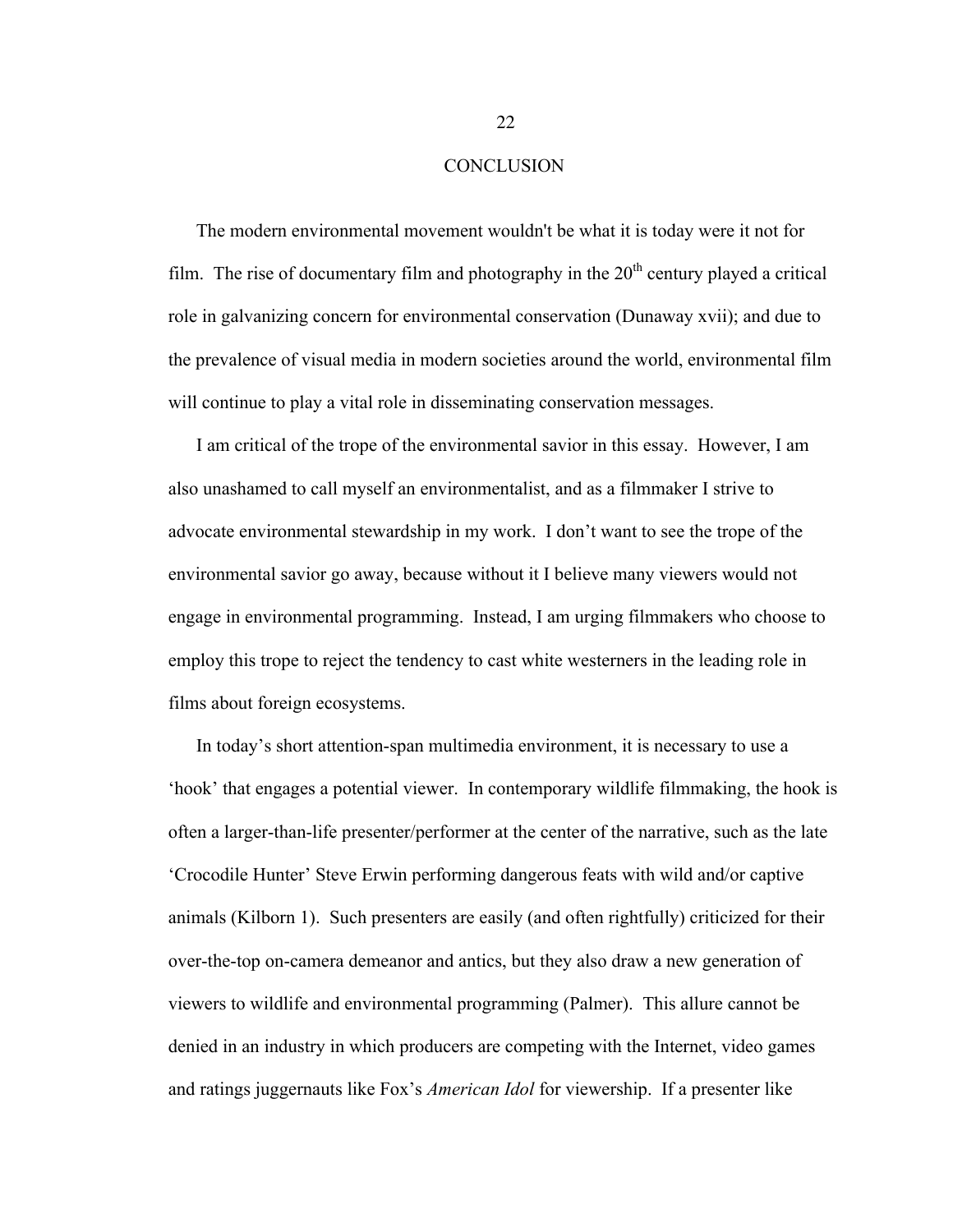### **CONCLUSION**

The modern environmental movement wouldn't be what it is today were it not for film. The rise of documentary film and photography in the  $20<sup>th</sup>$  century played a critical role in galvanizing concern for environmental conservation (Dunaway xvii); and due to the prevalence of visual media in modern societies around the world, environmental film will continue to play a vital role in disseminating conservation messages.

I am critical of the trope of the environmental savior in this essay. However, I am also unashamed to call myself an environmentalist, and as a filmmaker I strive to advocate environmental stewardship in my work. I don't want to see the trope of the environmental savior go away, because without it I believe many viewers would not engage in environmental programming. Instead, I am urging filmmakers who choose to employ this trope to reject the tendency to cast white westerners in the leading role in films about foreign ecosystems.

In today's short attention-span multimedia environment, it is necessary to use a 'hook' that engages a potential viewer. In contemporary wildlife filmmaking, the hook is often a larger-than-life presenter/performer at the center of the narrative, such as the late 'Crocodile Hunter' Steve Erwin performing dangerous feats with wild and/or captive animals (Kilborn 1). Such presenters are easily (and often rightfully) criticized for their over-the-top on-camera demeanor and antics, but they also draw a new generation of viewers to wildlife and environmental programming (Palmer). This allure cannot be denied in an industry in which producers are competing with the Internet, video games and ratings juggernauts like Fox's *American Idol* for viewership. If a presenter like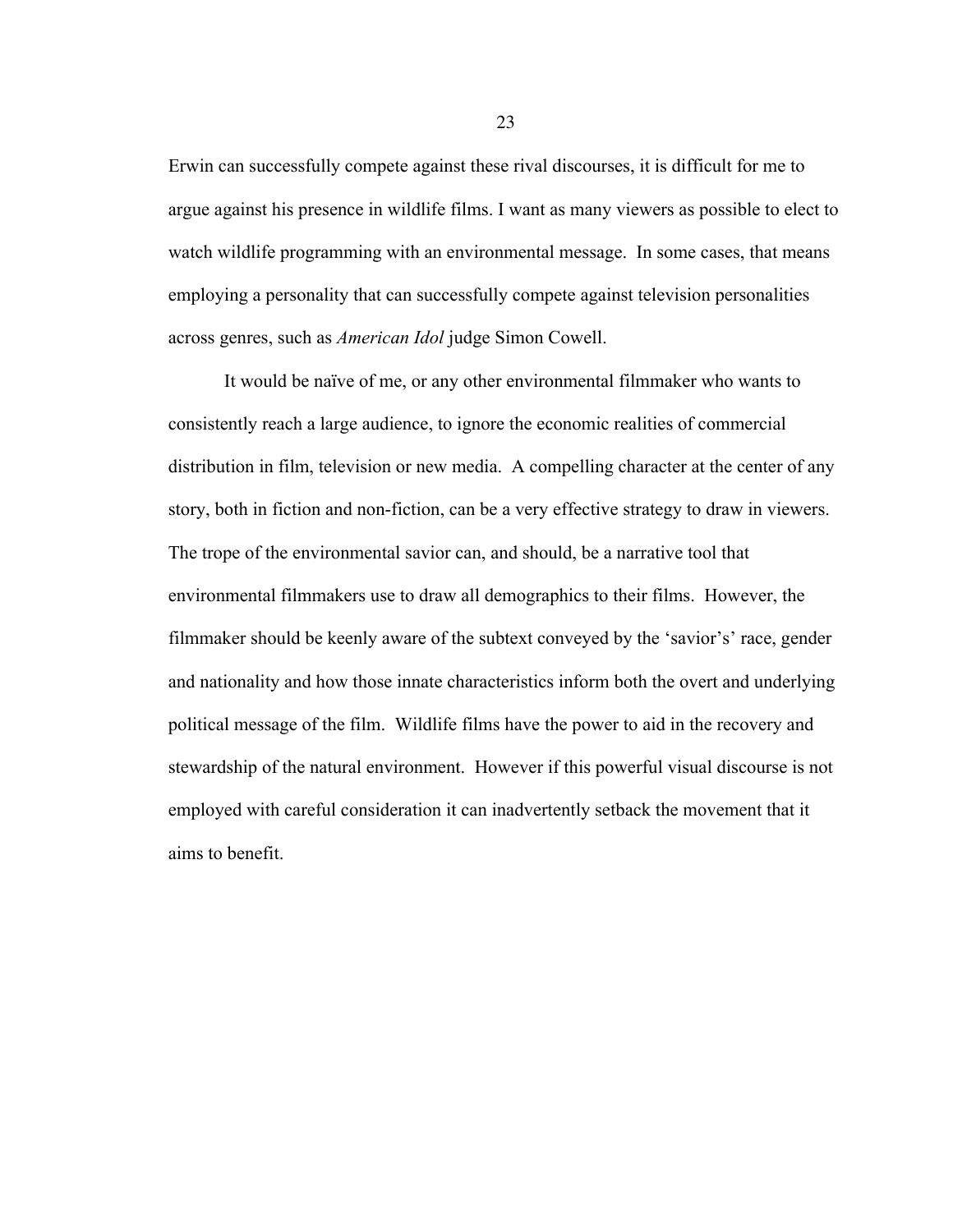Erwin can successfully compete against these rival discourses, it is difficult for me to argue against his presence in wildlife films. I want as many viewers as possible to elect to watch wildlife programming with an environmental message. In some cases, that means employing a personality that can successfully compete against television personalities across genres, such as *American Idol* judge Simon Cowell.

It would be naïve of me, or any other environmental filmmaker who wants to consistently reach a large audience, to ignore the economic realities of commercial distribution in film, television or new media. A compelling character at the center of any story, both in fiction and non-fiction, can be a very effective strategy to draw in viewers. The trope of the environmental savior can, and should, be a narrative tool that environmental filmmakers use to draw all demographics to their films. However, the filmmaker should be keenly aware of the subtext conveyed by the 'savior's' race, gender and nationality and how those innate characteristics inform both the overt and underlying political message of the film. Wildlife films have the power to aid in the recovery and stewardship of the natural environment. However if this powerful visual discourse is not employed with careful consideration it can inadvertently setback the movement that it aims to benefit.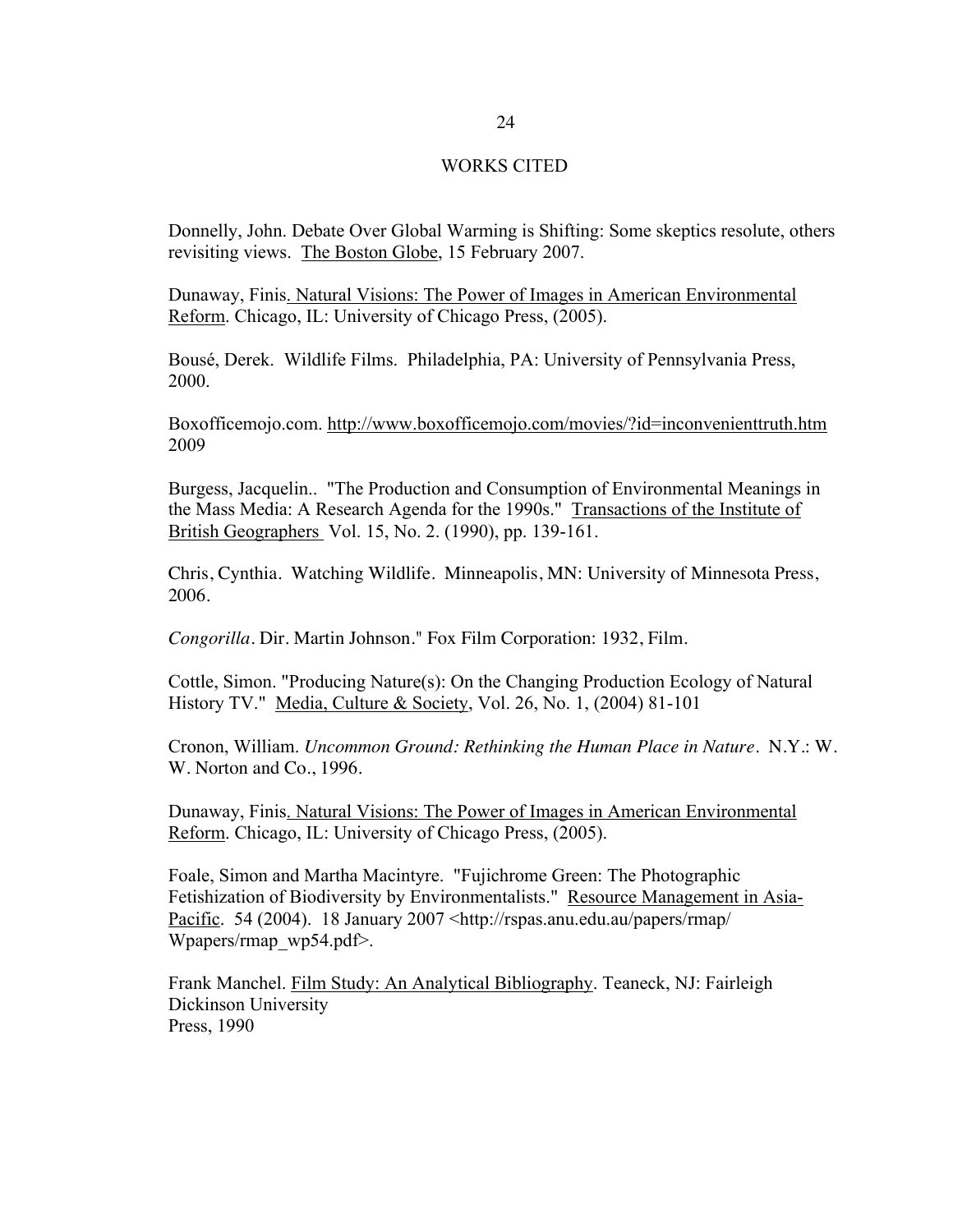### WORKS CITED

Donnelly, John. Debate Over Global Warming is Shifting: Some skeptics resolute, others revisiting views. The Boston Globe, 15 February 2007.

Dunaway, Finis. Natural Visions: The Power of Images in American Environmental Reform. Chicago, IL: University of Chicago Press, (2005).

Bousé, Derek. Wildlife Films. Philadelphia, PA: University of Pennsylvania Press, 2000.

Boxofficemojo.com. http://www.boxofficemojo.com/movies/?id=inconvenienttruth.htm 2009

Burgess, Jacquelin.. "The Production and Consumption of Environmental Meanings in the Mass Media: A Research Agenda for the 1990s." Transactions of the Institute of British Geographers Vol. 15, No. 2. (1990), pp. 139-161.

Chris, Cynthia. Watching Wildlife. Minneapolis, MN: University of Minnesota Press, 2006.

*Congorilla*. Dir. Martin Johnson." Fox Film Corporation: 1932, Film.

Cottle, Simon. "Producing Nature(s): On the Changing Production Ecology of Natural History TV." Media, Culture & Society, Vol. 26, No. 1, (2004) 81-101

Cronon, William. *Uncommon Ground: Rethinking the Human Place in Nature.* N.Y.: W. W. Norton and Co., 1996.

Dunaway, Finis. Natural Visions: The Power of Images in American Environmental Reform. Chicago, IL: University of Chicago Press, (2005).

Foale, Simon and Martha Macintyre. "Fujichrome Green: The Photographic Fetishization of Biodiversity by Environmentalists." Resource Management in Asia-Pacific. 54 (2004). 18 January 2007 <http://rspas.anu.edu.au/papers/rmap/ Wpapers/rmap\_wp54.pdf>.

Frank Manchel. Film Study: An Analytical Bibliography. Teaneck, NJ: Fairleigh Dickinson University Press, 1990